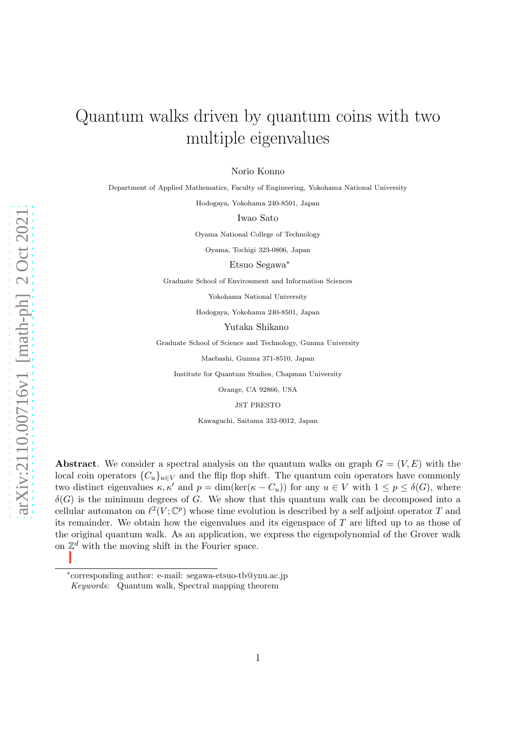# Quantum walks driven by quantum coins with two multiple eigenvalues

Norio Konno

Department of Applied Mathematics, Faculty of Engineering, Yokohama National University

Hodogaya, Yokohama 240-8501, Japan

Iwao Sato

Oyama National College of Technology

Oyama, Tochigi 323-0806, Japan

Etsuo Segawa<sup>∗</sup>

Graduate School of Environment and Information Sciences

Yokohama National University

Hodogaya, Yokohama 240-8501, Japan

Yutaka Shikano

Graduate School of Science and Technology, Gunma University

Maebashi, Gunma 371-8510, Japan

Institute for Quantum Studies, Chapman University

Orange, CA 92866, USA

JST PRESTO

Kawaguchi, Saitama 332-0012, Japan

Abstract. We consider a spectral analysis on the quantum walks on graph  $G = (V, E)$  with the local coin operators  ${C_u}_{u\in V}$  and the flip flop shift. The quantum coin operators have commonly two distinct eigenvalues  $\kappa, \kappa'$  and  $p = \dim(\ker(\kappa - C_u))$  for any  $u \in V$  with  $1 \leq p \leq \delta(G)$ , where  $\delta(G)$  is the minimum degrees of G. We show that this quantum walk can be decomposed into a cellular automaton on  $\ell^2(V; \mathbb{C}^p)$  whose time evolution is described by a self adjoint operator T and its remainder. We obtain how the eigenvalues and its eigenspace of  $T$  are lifted up to as those of the original quantum walk. As an application, we express the eigenpolynomial of the Grover walk on  $\mathbb{Z}^d$  with the moving shift in the Fourier space.

<sup>∗</sup> corresponding author: e-mail: segawa-etsuo-tb@ynu.ac.jp

Keywords: Quantum walk, Spectral mapping theorem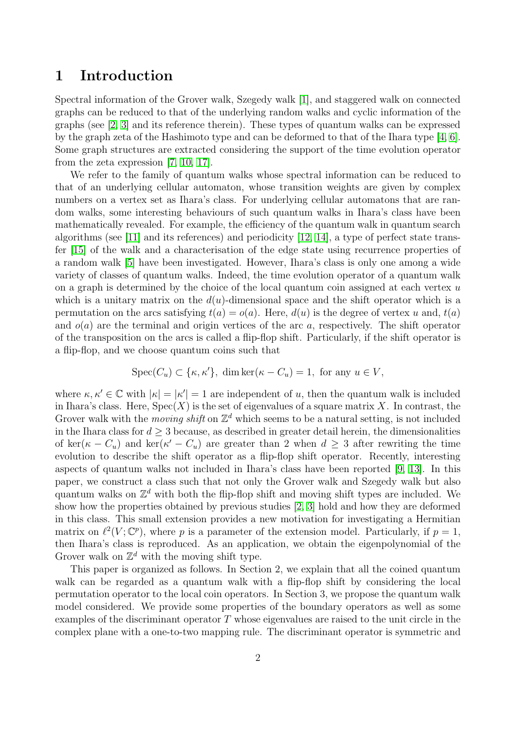### 1 Introduction

Spectral information of the Grover walk, Szegedy walk [\[1\]](#page-27-0), and staggered walk on connected graphs can be reduced to that of the underlying random walks and cyclic information of the graphs (see [\[2,](#page-27-1) [3\]](#page-27-2) and its reference therein). These types of quantum walks can be expressed by the graph zeta of the Hashimoto type and can be deformed to that of the Ihara type [\[4,](#page-27-3) [6\]](#page-27-4). Some graph structures are extracted considering the support of the time evolution operator from the zeta expression [\[7,](#page-27-5) [10,](#page-27-6) [17\]](#page-28-0).

We refer to the family of quantum walks whose spectral information can be reduced to that of an underlying cellular automaton, whose transition weights are given by complex numbers on a vertex set as Ihara's class. For underlying cellular automatons that are random walks, some interesting behaviours of such quantum walks in Ihara's class have been mathematically revealed. For example, the efficiency of the quantum walk in quantum search algorithms (see [\[11\]](#page-27-7) and its references) and periodicity [\[12,](#page-27-8) [14\]](#page-27-9), a type of perfect state transfer [\[15\]](#page-27-10) of the walk and a characterisation of the edge state using recurrence properties of a random walk [\[5\]](#page-27-11) have been investigated. However, Ihara's class is only one among a wide variety of classes of quantum walks. Indeed, the time evolution operator of a quantum walk on a graph is determined by the choice of the local quantum coin assigned at each vertex  $u$ which is a unitary matrix on the  $d(u)$ -dimensional space and the shift operator which is a permutation on the arcs satisfying  $t(a) = o(a)$ . Here,  $d(u)$  is the degree of vertex u and,  $t(a)$ and  $o(a)$  are the terminal and origin vertices of the arc a, respectively. The shift operator of the transposition on the arcs is called a flip-flop shift. Particularly, if the shift operator is a flip-flop, and we choose quantum coins such that

$$
Spec(C_u) \subset \{\kappa, \kappa'\}, \dim \ker(\kappa - C_u) = 1, \text{ for any } u \in V,
$$

where  $\kappa, \kappa' \in \mathbb{C}$  with  $|\kappa| = |\kappa'| = 1$  are independent of u, then the quantum walk is included in Ihara's class. Here,  $Spec(X)$  is the set of eigenvalues of a square matrix X. In contrast, the Grover walk with the *moving shift* on  $\mathbb{Z}^d$  which seems to be a natural setting, is not included in the Ihara class for  $d > 3$  because, as described in greater detail herein, the dimensionalities of ker( $\kappa - C_u$ ) and ker( $\kappa' - C_u$ ) are greater than 2 when  $d \geq 3$  after rewriting the time evolution to describe the shift operator as a flip-flop shift operator. Recently, interesting aspects of quantum walks not included in Ihara's class have been reported [\[9,](#page-27-12) [13\]](#page-27-13). In this paper, we construct a class such that not only the Grover walk and Szegedy walk but also quantum walks on  $\mathbb{Z}^d$  with both the flip-flop shift and moving shift types are included. We show how the properties obtained by previous studies [\[2,](#page-27-1) [3\]](#page-27-2) hold and how they are deformed in this class. This small extension provides a new motivation for investigating a Hermitian matrix on  $\ell^2(V; \mathbb{C}^p)$ , where p is a parameter of the extension model. Particularly, if  $p=1$ , then Ihara's class is reproduced. As an application, we obtain the eigenpolynomial of the Grover walk on  $\mathbb{Z}^d$  with the moving shift type.

This paper is organized as follows. In Section 2, we explain that all the coined quantum walk can be regarded as a quantum walk with a flip-flop shift by considering the local permutation operator to the local coin operators. In Section 3, we propose the quantum walk model considered. We provide some properties of the boundary operators as well as some examples of the discriminant operator  $T$  whose eigenvalues are raised to the unit circle in the complex plane with a one-to-two mapping rule. The discriminant operator is symmetric and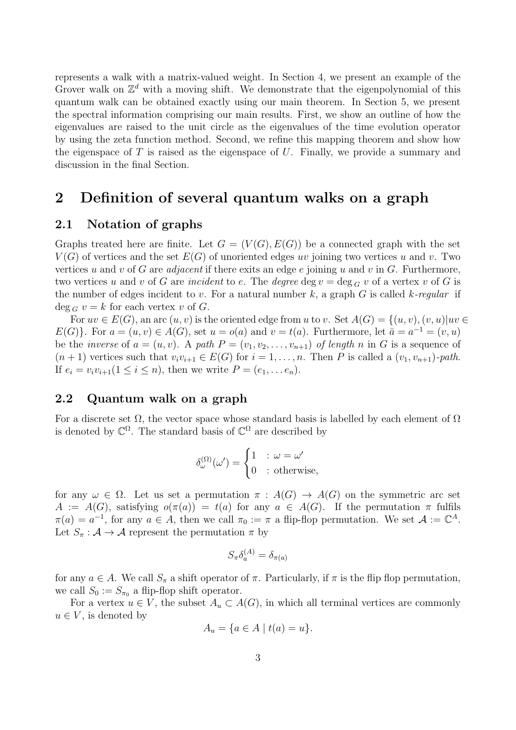represents a walk with a matrix-valued weight. In Section 4, we present an example of the Grover walk on  $\mathbb{Z}^d$  with a moving shift. We demonstrate that the eigenpolynomial of this quantum walk can be obtained exactly using our main theorem. In Section 5, we present the spectral information comprising our main results. First, we show an outline of how the eigenvalues are raised to the unit circle as the eigenvalues of the time evolution operator by using the zeta function method. Second, we refine this mapping theorem and show how the eigenspace of  $T$  is raised as the eigenspace of  $U$ . Finally, we provide a summary and discussion in the final Section.

### 2 Definition of several quantum walks on a graph

### 2.1 Notation of graphs

Graphs treated here are finite. Let  $G = (V(G), E(G))$  be a connected graph with the set  $V(G)$  of vertices and the set  $E(G)$  of unoriented edges uv joining two vertices u and v. Two vertices u and v of G are *adjacent* if there exits an edge e joining u and v in G. Furthermore, two vertices u and v of G are incident to e. The degree deg  $v = \deg_G v$  of a vertex v of G is the number of edges incident to v. For a natural number k, a graph G is called k-regular if  $\deg_G v = k$  for each vertex v of G.

For  $uv \in E(G)$ , an arc  $(u, v)$  is the oriented edge from u to v. Set  $A(G) = \{(u, v), (v, u) | uv \in$  $E(G)$ . For  $a = (u, v) \in A(G)$ , set  $u = o(a)$  and  $v = t(a)$ . Furthermore, let  $\bar{a} = a^{-1} = (v, u)$ be the *inverse* of  $a = (u, v)$ . A path  $P = (v_1, v_2, \ldots, v_{n+1})$  of length n in G is a sequence of  $(n + 1)$  vertices such that  $v_i v_{i+1} \in E(G)$  for  $i = 1, ..., n$ . Then P is called a  $(v_1, v_{n+1})$ -path. If  $e_i = v_i v_{i+1} (1 \leq i \leq n)$ , then we write  $P = (e_1, \ldots e_n)$ .

### 2.2 Quantum walk on a graph

For a discrete set  $\Omega$ , the vector space whose standard basis is labelled by each element of  $\Omega$ is denoted by  $\mathbb{C}^{\Omega}$ . The standard basis of  $\mathbb{C}^{\Omega}$  are described by

$$
\delta_\omega^{(\Omega)}(\omega') = \begin{cases} 1 & : \omega = \omega' \\ 0 & : \text{otherwise,} \end{cases}
$$

for any  $\omega \in \Omega$ . Let us set a permutation  $\pi : A(G) \to A(G)$  on the symmetric arc set  $A := A(G)$ , satisfying  $o(\pi(a)) = t(a)$  for any  $a \in A(G)$ . If the permutation  $\pi$  fulfils  $\pi(a) = a^{-1}$ , for any  $a \in A$ , then we call  $\pi_0 := \pi$  a flip-flop permutation. We set  $\mathcal{A} := \mathbb{C}^A$ . Let  $S_{\pi}: A \rightarrow A$  represent the permutation  $\pi$  by

$$
S_{\pi}\delta_a^{(A)} = \delta_{\pi(a)}
$$

for any  $a \in A$ . We call  $S_{\pi}$  a shift operator of  $\pi$ . Particularly, if  $\pi$  is the flip flop permutation, we call  $S_0 := S_{\pi_0}$  a flip-flop shift operator.

For a vertex  $u \in V$ , the subset  $A_u \subset A(G)$ , in which all terminal vertices are commonly  $u \in V$ , is denoted by

$$
A_u = \{a \in A \mid t(a) = u\}.
$$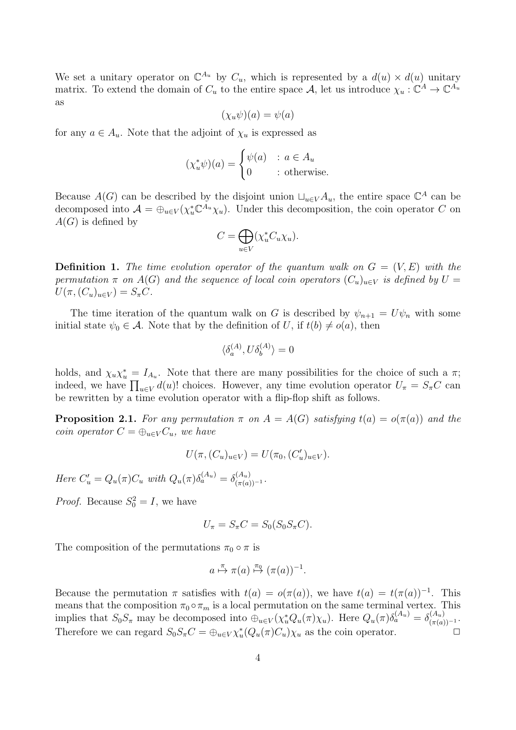We set a unitary operator on  $\mathbb{C}^{A_u}$  by  $C_u$ , which is represented by a  $d(u) \times d(u)$  unitary matrix. To extend the domain of  $C_u$  to the entire space  $\mathcal{A}$ , let us introduce  $\chi_u : \mathbb{C}^A \to \mathbb{C}^{A_u}$ as

$$
(\chi_u \psi)(a) = \psi(a)
$$

for any  $a \in A_u$ . Note that the adjoint of  $\chi_u$  is expressed as

$$
(\chi_u^* \psi)(a) = \begin{cases} \psi(a) & : a \in A_u \\ 0 & : \text{otherwise.} \end{cases}
$$

Because  $A(G)$  can be described by the disjoint union  $\sqcup_{u\in V} A_u$ , the entire space  $\mathbb{C}^A$  can be decomposed into  $\mathcal{A} = \bigoplus_{u \in V} (\chi_u^* \mathbb{C}^{A_u} \chi_u)$ . Under this decomposition, the coin operator C on  $A(G)$  is defined by

$$
C = \bigoplus_{u \in V} (\chi_u^* C_u \chi_u).
$$

**Definition 1.** The time evolution operator of the quantum walk on  $G = (V, E)$  with the permutation  $\pi$  on A(G) and the sequence of local coin operators  $(C_u)_{u\in V}$  is defined by  $U =$  $U(\pi,(C_u)_{u\in V})=S_{\pi}C.$ 

The time iteration of the quantum walk on G is described by  $\psi_{n+1} = U\psi_n$  with some initial state  $\psi_0 \in \mathcal{A}$ . Note that by the definition of U, if  $t(b) \neq o(a)$ , then

$$
\langle \delta_a^{(A)}, U \delta_b^{(A)} \rangle = 0
$$

holds, and  $\chi_u \chi_u^* = I_{A_u}$ . Note that there are many possibilities for the choice of such a  $\pi$ ; indeed, we have  $\prod_{u \in V} d(u)$ ! choices. However, any time evolution operator  $U_{\pi} = S_{\pi}C$  can be rewritten by a time evolution operator with a flip-flop shift as follows.

**Proposition 2.1.** For any permutation  $\pi$  on  $A = A(G)$  satisfying  $t(a) = o(\pi(a))$  and the coin operator  $C = \bigoplus_{u \in V} C_u$ , we have

$$
U(\pi, (C_u)_{u \in V}) = U(\pi_0, (C'_u)_{u \in V}).
$$

Here  $C'_u = Q_u(\pi)C_u$  with  $Q_u(\pi)\delta_a^{(A_u)} = \delta_{(\pi(a))^{-1}}^{(A_u)}$ .

*Proof.* Because  $S_0^2 = I$ , we have

$$
U_{\pi} = S_{\pi}C = S_0(S_0S_{\pi}C).
$$

The composition of the permutations  $\pi_0 \circ \pi$  is

$$
a \stackrel{\pi}{\mapsto} \pi(a) \stackrel{\pi_0}{\mapsto} (\pi(a))^{-1}.
$$

Because the permutation  $\pi$  satisfies with  $t(a) = o(\pi(a))$ , we have  $t(a) = t(\pi(a))^{-1}$ . This means that the composition  $\pi_0 \circ \pi_m$  is a local permutation on the same terminal vertex. This implies that  $S_0 S_\pi$  may be decomposed into  $\bigoplus_{u \in V} (\chi_u^* Q_u(\pi) \chi_u)$ . Here  $Q_u(\pi) \delta_a^{(A_u)} = \delta_{(\pi(a))^{-1}}^{(A_u)}$ . Therefore we can regard  $S_0 S_{\pi} C = \bigoplus_{u \in V} \chi_u^* (Q_u(\pi) C_u) \chi_u$  as the coin operator.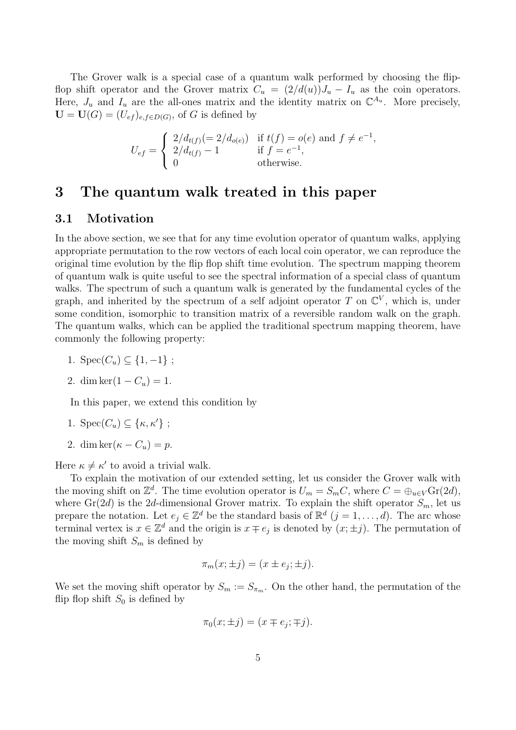The Grover walk is a special case of a quantum walk performed by choosing the flipflop shift operator and the Grover matrix  $C_u = (2/d(u))J_u - I_u$  as the coin operators. Here,  $J_u$  and  $I_u$  are the all-ones matrix and the identity matrix on  $\mathbb{C}^{A_u}$ . More precisely,  $\mathbf{U} = \mathbf{U}(G) = (U_{ef})_{e,f \in D(G)}$ , of G is defined by

$$
U_{ef} = \begin{cases} 2/d_{t(f)}(=2/d_{o(e)}) & \text{if } t(f) = o(e) \text{ and } f \neq e^{-1}, \\ 2/d_{t(f)} - 1 & \text{if } f = e^{-1}, \\ 0 & \text{otherwise.} \end{cases}
$$

### <span id="page-4-0"></span>3 The quantum walk treated in this paper

### 3.1 Motivation

In the above section, we see that for any time evolution operator of quantum walks, applying appropriate permutation to the row vectors of each local coin operator, we can reproduce the original time evolution by the flip flop shift time evolution. The spectrum mapping theorem of quantum walk is quite useful to see the spectral information of a special class of quantum walks. The spectrum of such a quantum walk is generated by the fundamental cycles of the graph, and inherited by the spectrum of a self adjoint operator T on  $\mathbb{C}^V$ , which is, under some condition, isomorphic to transition matrix of a reversible random walk on the graph. The quantum walks, which can be applied the traditional spectrum mapping theorem, have commonly the following property:

1.  $Spec(C_u) \subseteq \{1, -1\}$ ;

$$
2. \dim \ker(1 - C_u) = 1.
$$

In this paper, we extend this condition by

1. 
$$
\text{Spec}(C_u) \subseteq \{\kappa, \kappa'\};
$$

2. dim ker $(\kappa - C_u) = p$ .

Here  $\kappa \neq \kappa'$  to avoid a trivial walk.

To explain the motivation of our extended setting, let us consider the Grover walk with the moving shift on  $\mathbb{Z}^d$ . The time evolution operator is  $U_m = S_m C$ , where  $C = \bigoplus_{u \in V} \text{Gr}(2d)$ , where  $Gr(2d)$  is the 2d-dimensional Grover matrix. To explain the shift operator  $S_m$ , let us prepare the notation. Let  $e_j \in \mathbb{Z}^d$  be the standard basis of  $\mathbb{R}^d$   $(j = 1, \ldots, d)$ . The arc whose terminal vertex is  $x \in \mathbb{Z}^d$  and the origin is  $x \mp e_j$  is denoted by  $(x; \pm j)$ . The permutation of the moving shift  $S_m$  is defined by

$$
\pi_m(x; \pm j) = (x \pm e_j; \pm j).
$$

We set the moving shift operator by  $S_m := S_{\pi_m}$ . On the other hand, the permutation of the flip flop shift  $S_0$  is defined by

$$
\pi_0(x;\pm j) = (x \mp e_j; \mp j).
$$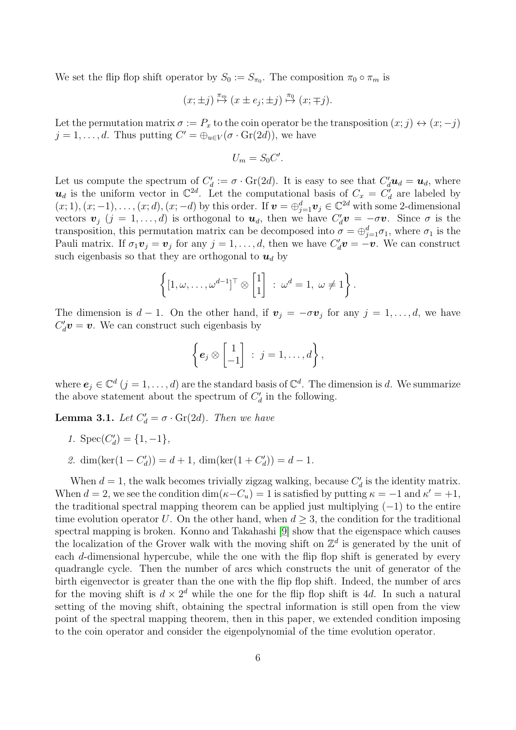We set the flip flop shift operator by  $S_0 := S_{\pi_0}$ . The composition  $\pi_0 \circ \pi_m$  is

$$
(x; \pm j) \stackrel{\pi_m}{\mapsto} (x \pm e_j; \pm j) \stackrel{\pi_0}{\mapsto} (x; \mp j).
$$

Let the permutation matrix  $\sigma := P_x$  to the coin operator be the transposition  $(x; j) \leftrightarrow (x; -j)$  $j = 1, \ldots, d$ . Thus putting  $C' = \bigoplus_{u \in V} (\sigma \cdot \text{Gr}(2d))$ , we have

$$
U_m = S_0 C'.
$$

Let us compute the spectrum of  $C'_d := \sigma \cdot Gr(2d)$ . It is easy to see that  $C'_d u_d = u_d$ , where  $u_d$  is the uniform vector in  $\mathbb{C}^{2d}$ . Let the computational basis of  $C_x = C'_d$  are labeled by  $(x; 1), (x; -1), \ldots, (x; d), (x; -d)$  by this order. If  $\mathbf{v} = \bigoplus_{j=1}^{d} \mathbf{v}_j \in \mathbb{C}^{2d}$  with some 2-dimensional vectors  $\mathbf{v}_j$   $(j = 1, ..., d)$  is orthogonal to  $\mathbf{u}_d$ , then we have  $C'_d\mathbf{v} = -\sigma \mathbf{v}$ . Since  $\sigma$  is the transposition, this permutation matrix can be decomposed into  $\sigma = \bigoplus_{j=1}^{d} \sigma_j$ , where  $\sigma_1$  is the Pauli matrix. If  $\sigma_1 \mathbf{v}_j = \mathbf{v}_j$  for any  $j = 1, \ldots, d$ , then we have  $C'_d \mathbf{v} = -\mathbf{v}$ . We can construct such eigenbasis so that they are orthogonal to  $u_d$  by

$$
\left\{ [1, \omega, \ldots, \omega^{d-1}]^\top \otimes \begin{bmatrix} 1 \\ 1 \end{bmatrix} : \omega^d = 1, \ \omega \neq 1 \right\}.
$$

The dimension is  $d-1$ . On the other hand, if  $v_j = -\sigma v_j$  for any  $j = 1, \ldots, d$ , we have  $C_d' \boldsymbol{v} = \boldsymbol{v}$ . We can construct such eigenbasis by

$$
\left\{ e_j \otimes \begin{bmatrix} 1 \\ -1 \end{bmatrix} : j = 1, \ldots, d \right\},\
$$

where  $e_j \in \mathbb{C}^d$   $(j = 1, ..., d)$  are the standard basis of  $\mathbb{C}^d$ . The dimension is d. We summarize the above statement about the spectrum of  $C_d$  in the following.

<span id="page-5-0"></span>**Lemma 3.1.** Let  $C'_d = \sigma \cdot \text{Gr}(2d)$ . Then we have

- 1.  $Spec(C'_d) = \{1, -1\},\$
- 2. dim(ker(1  $C'_d$ )) = d + 1, dim(ker(1 +  $C'_d$ )) = d 1.

When  $d = 1$ , the walk becomes trivially zigzag walking, because  $C'_d$  is the identity matrix. When  $d = 2$ , we see the condition  $\dim(\kappa - C_u) = 1$  is satisfied by putting  $\kappa = -1$  and  $\kappa' = +1$ , the traditional spectral mapping theorem can be applied just multiplying  $(-1)$  to the entire time evolution operator U. On the other hand, when  $d \geq 3$ , the condition for the traditional spectral mapping is broken. Konno and Takahashi [\[9\]](#page-27-12) show that the eigenspace which causes the localization of the Grover walk with the moving shift on  $\mathbb{Z}^d$  is generated by the unit of each d-dimensional hypercube, while the one with the flip flop shift is generated by every quadrangle cycle. Then the number of arcs which constructs the unit of generator of the birth eigenvector is greater than the one with the flip flop shift. Indeed, the number of arcs for the moving shift is  $d \times 2^d$  while the one for the flip flop shift is 4d. In such a natural setting of the moving shift, obtaining the spectral information is still open from the view point of the spectral mapping theorem, then in this paper, we extended condition imposing to the coin operator and consider the eigenpolynomial of the time evolution operator.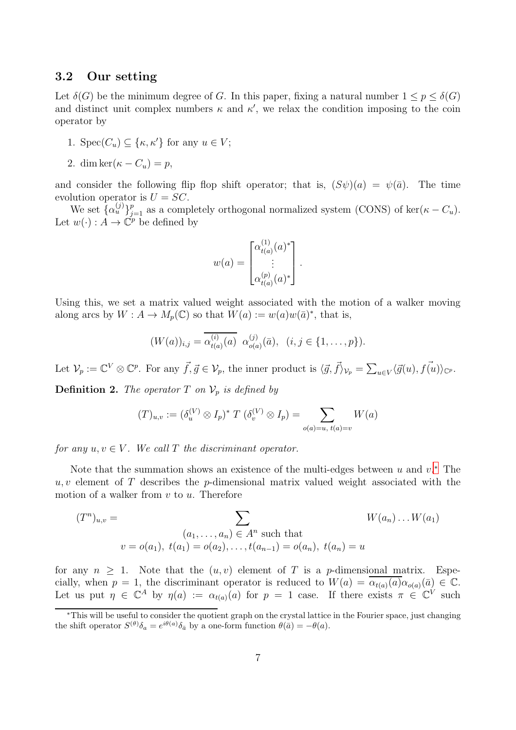### 3.2 Our setting

Let  $\delta(G)$  be the minimum degree of G. In this paper, fixing a natural number  $1 \leq p \leq \delta(G)$ and distinct unit complex numbers  $\kappa$  and  $\kappa'$ , we relax the condition imposing to the coin operator by

- 1.  $Spec(C_u) \subseteq {\kappa, \kappa'}$  for any  $u \in V$ ;
- 2. dim ker $(\kappa C_u) = p$ ,

and consider the following flip flop shift operator; that is,  $(S\psi)(a) = \psi(\bar{a})$ . The time evolution operator is  $U = SC$ .

We set  $\{\alpha_u^{(j)}\}_{j=1}^p$  as a completely orthogonal normalized system (CONS) of ker( $\kappa - C_u$ ). Let  $w(\cdot) : A \to \check{\mathbb{C}}^p$  be defined by

$$
w(a) = \begin{bmatrix} \alpha_{t(a)}^{(1)}(a)^* \\ \vdots \\ \alpha_{t(a)}^{(p)}(a)^* \end{bmatrix}.
$$

Using this, we set a matrix valued weight associated with the motion of a walker moving along arcs by  $W: A \to M_p(\mathbb{C})$  so that  $W(a) := w(a)w(\bar{a})^*$ , that is,

$$
(W(a))_{i,j} = \overline{\alpha_{t(a)}^{(i)}(a)} \ \alpha_{o(a)}^{(j)}(\bar{a}), \ \ (i,j \in \{1,\ldots,p\}).
$$

Let  $\mathcal{V}_p := \mathbb{C}^V \otimes \mathbb{C}^p$ . For any  $\vec{f}, \vec{g} \in \mathcal{V}_p$ , the inner product is  $\langle \vec{g}, \vec{f} \rangle_{\mathcal{V}_p} = \sum_{u \in V} \langle \vec{g}(u), \vec{f(u)} \rangle_{\mathbb{C}^p}$ .

**Definition 2.** The operator T on  $\mathcal{V}_p$  is defined by

$$
(T)_{u,v} := (\delta_u^{(V)} \otimes I_p)^* T (\delta_v^{(V)} \otimes I_p) = \sum_{o(a) = u, t(a) = v} W(a)
$$

for any  $u, v \in V$ . We call T the discriminant operator.

Note that the summation shows an existence of the multi-edges between  $u$  and  $v^*$ . The  $u, v$  element of T describes the p-dimensional matrix valued weight associated with the motion of a walker from  $v$  to  $u$ . Therefore

$$
(T^n)_{u,v} = \sum_{\substack{(a_1,\ldots,a_n) \in A^n \text{ such that} \\ v = o(a_1), \ t(a_1) = o(a_2), \ldots, t(a_{n-1}) = o(a_n), \ t(a_n) = u}} W(a_n) \ldots W(a_1)
$$

for any  $n \geq 1$ . Note that the  $(u, v)$  element of T is a p-dimensional matrix. Especially, when  $p = 1$ , the discriminant operator is reduced to  $W(a) = \overline{\alpha_{t(a)}(a)} \alpha_{o(a)}(\overline{a}) \in \mathbb{C}$ . Let us put  $\eta \in \mathbb{C}^A$  by  $\eta(a) := \alpha_{t(a)}(a)$  for  $p = 1$  case. If there exists  $\pi \in \mathbb{C}^V$  such

<span id="page-6-0"></span><sup>∗</sup>This will be useful to consider the quotient graph on the crystal lattice in the Fourier space, just changing the shift operator  $S^{(\theta)}\delta_a = e^{i\theta(a)}\delta_{\bar{a}}$  by a one-form function  $\theta(\bar{a}) = -\theta(a)$ .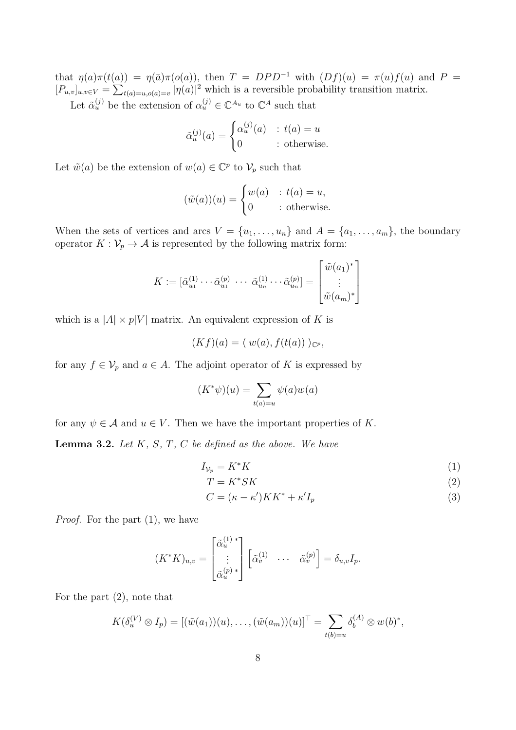that  $\eta(a)\pi(t(a)) = \eta(\bar{a})\pi(o(a))$ , then  $T = DPD^{-1}$  with  $(Df)(u) = \pi(u)f(u)$  and  $P =$  $[P_{u,v}]_{u,v\in V} = \sum_{t(a)=u,o(a)=v} |\eta(a)|^2$  which is a reversible probability transition matrix. Let  $\tilde{\alpha}_u^{(j)}$  be the extension of  $\alpha_u^{(j)} \in \mathbb{C}^{A_u}$  to  $\mathbb{C}^A$  such that

$$
\tilde{\alpha}_u^{(j)}(a) = \begin{cases} \alpha_u^{(j)}(a) & : t(a) = u \\ 0 & : \text{otherwise.} \end{cases}
$$

Let  $\tilde{w}(a)$  be the extension of  $w(a) \in \mathbb{C}^p$  to  $\mathcal{V}_p$  such that

$$
(\tilde{w}(a))(u) = \begin{cases} w(a) & \text{: } t(a) = u, \\ 0 & \text{: otherwise.} \end{cases}
$$

When the sets of vertices and arcs  $V = \{u_1, \ldots, u_n\}$  and  $A = \{a_1, \ldots, a_m\}$ , the boundary operator  $K: \mathcal{V}_p \to \mathcal{A}$  is represented by the following matrix form:

$$
K := [\tilde{\alpha}_{u_1}^{(1)} \cdots \tilde{\alpha}_{u_1}^{(p)} \cdots \tilde{\alpha}_{u_n}^{(1)} \cdots \tilde{\alpha}_{u_n}^{(p)}] = \begin{bmatrix} \tilde{w}(a_1)^* \\ \vdots \\ \tilde{w}(a_m)^* \end{bmatrix}
$$

which is a  $|A| \times p|V|$  matrix. An equivalent expression of K is

$$
(Kf)(a) = \langle w(a), f(t(a)) \rangle_{\mathbb{C}^p},
$$

for any  $f \in V_p$  and  $a \in A$ . The adjoint operator of K is expressed by

$$
(K^*\psi)(u) = \sum_{t(a)=u} \psi(a)w(a)
$$

for any  $\psi \in \mathcal{A}$  and  $u \in V$ . Then we have the important properties of K.

<span id="page-7-0"></span>**Lemma 3.2.** Let  $K$ ,  $S$ ,  $T$ ,  $C$  be defined as the above. We have

$$
I_{\mathcal{V}_p} = K^* K \tag{1}
$$

$$
T = K^* SK \tag{2}
$$

$$
C = (\kappa - \kappa')KK^* + \kappa'I_p \tag{3}
$$

Proof. For the part (1), we have

$$
(K^*K)_{u,v} = \begin{bmatrix} \tilde{\alpha}_u^{(1)} \\ \vdots \\ \tilde{\alpha}_u^{(p)} \end{bmatrix} \begin{bmatrix} \tilde{\alpha}_v^{(1)} & \cdots & \tilde{\alpha}_v^{(p)} \end{bmatrix} = \delta_{u,v} I_p.
$$

For the part (2), note that

$$
K(\delta_u^{(V)} \otimes I_p) = [(\tilde{w}(a_1))(u), \ldots, (\tilde{w}(a_m))(u)]^\top = \sum_{t(b)=u} \delta_b^{(A)} \otimes w(b)^*,
$$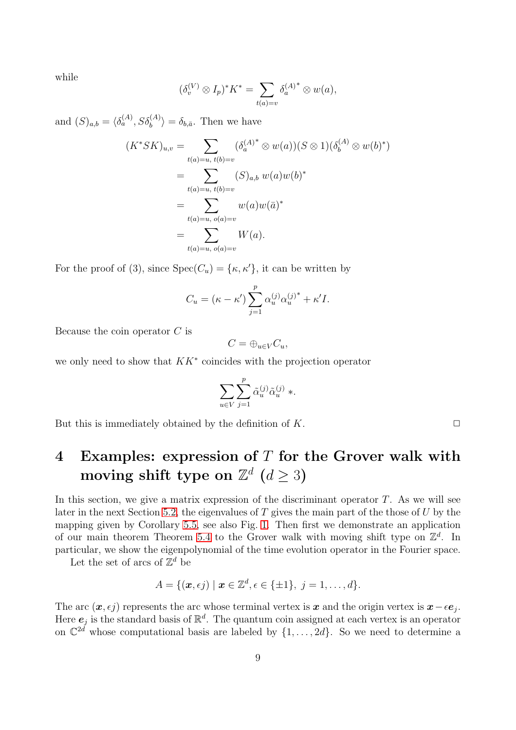while

$$
(\delta_v^{(V)} \otimes I_p)^* K^* = \sum_{t(a)=v} \delta_a^{(A)^*} \otimes w(a),
$$

and  $(S)_{a,b} = \langle \delta_a^{(A)}, S \delta_b^{(A)} \rangle = \delta_{b,\bar{a}}$ . Then we have

$$
(K^*SK)_{u,v} = \sum_{t(a)=u, t(b)=v} (\delta_a^{(A)^*} \otimes w(a))(S \otimes 1)(\delta_b^{(A)} \otimes w(b)^*)
$$
  
= 
$$
\sum_{t(a)=u, t(b)=v} (S)_{a,b} w(a)w(b)^*
$$
  
= 
$$
\sum_{t(a)=u, o(a)=v} w(a)w(\bar{a})^*
$$
  
= 
$$
\sum_{t(a)=u, o(a)=v} W(a).
$$

For the proof of (3), since  $Spec(C_u) = {\kappa, \kappa'}$ , it can be written by

$$
C_u = (\kappa - \kappa') \sum_{j=1}^p \alpha_u^{(j)} {\alpha_u^{(j)}}^* + \kappa' I.
$$

Because the coin operator  $C$  is

$$
C=\oplus_{u\in V}C_u,
$$

we only need to show that  $KK^*$  coincides with the projection operator

$$
\sum_{u \in V} \sum_{j=1}^p \tilde{\alpha}_u^{(j)} \tilde{\alpha}_u^{(j)} \ast.
$$

But this is immediately obtained by the definition of  $K$ .

# <span id="page-8-0"></span>4 Examples: expression of  $T$  for the Grover walk with moving shift type on  $\mathbb{Z}^d$   $(d \geq 3)$

In this section, we give a matrix expression of the discriminant operator  $T$ . As we will see later in the next Section [5.2,](#page-19-0) the eigenvalues of  $T$  gives the main part of the those of  $U$  by the mapping given by Corollary [5.5,](#page-22-0) see also Fig. [1.](#page-26-0) Then first we demonstrate an application of our main theorem Theorem [5.4](#page-20-0) to the Grover walk with moving shift type on  $\mathbb{Z}^d$ . In particular, we show the eigenpolynomial of the time evolution operator in the Fourier space.

Let the set of arcs of  $\mathbb{Z}^d$  be

$$
A = \{(\boldsymbol{x}, \epsilon j) \mid \boldsymbol{x} \in \mathbb{Z}^d, \epsilon \in \{\pm 1\}, \ j = 1, \ldots, d\}.
$$

The arc  $(x, \epsilon j)$  represents the arc whose terminal vertex is x and the origin vertex is  $x - \epsilon e_j$ . Here  $e_j$  is the standard basis of  $\mathbb{R}^d$ . The quantum coin assigned at each vertex is an operator on  $\mathbb{C}^{2d}$  whose computational basis are labeled by  $\{1,\ldots,2d\}$ . So we need to determine a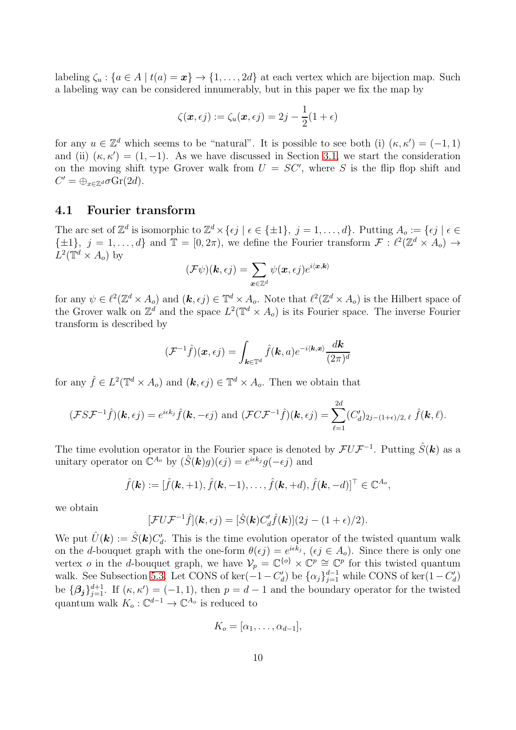labeling  $\zeta_u : \{a \in A \mid t(a) = \mathbf{x}\} \to \{1, \ldots, 2d\}$  at each vertex which are bijection map. Such a labeling way can be considered innumerably, but in this paper we fix the map by

$$
\zeta(\boldsymbol{x}, \epsilon j) := \zeta_u(\boldsymbol{x}, \epsilon j) = 2j - \frac{1}{2}(1 + \epsilon)
$$

for any  $u \in \mathbb{Z}^d$  which seems to be "natural". It is possible to see both (i)  $(\kappa, \kappa') = (-1, 1)$ and (ii)  $(\kappa, \kappa') = (1, -1)$ . As we have discussed in Section [3.1,](#page-4-0) we start the consideration on the moving shift type Grover walk from  $U = SC'$ , where S is the flip flop shift and  $C' = \bigoplus_{x \in \mathbb{Z}^d} \sigma \text{Gr}(2d).$ 

### 4.1 Fourier transform

The arc set of  $\mathbb{Z}^d$  is isomorphic to  $\mathbb{Z}^d \times \{\epsilon j \mid \epsilon \in \{\pm 1\}, j = 1, \ldots, d\}$ . Putting  $A_o := \{\epsilon j \mid \epsilon \in \mathbb{Z}^d\}$  $\{\pm 1\}, j = 1, \ldots, d\}$  and  $\mathbb{T} = [0, 2\pi)$ , we define the Fourier transform  $\mathcal{F} : \ell^2(\mathbb{Z}^d \times A_o) \to \ell^2(\mathbb{Z}^d \times A_o)$  $L^2(\mathbb{T}^d \times A_o)$  by

$$
(\mathcal{F}\psi)(\boldsymbol{k},\epsilon j)=\sum_{\boldsymbol{x}\in\mathbb{Z}^d}\psi(\boldsymbol{x},\epsilon j)e^{i\langle\boldsymbol{x},\boldsymbol{k}\rangle}
$$

for any  $\psi \in \ell^2(\mathbb{Z}^d \times A_o)$  and  $(\mathbf{k}, \epsilon j) \in \mathbb{T}^d \times A_o$ . Note that  $\ell^2(\mathbb{Z}^d \times A_o)$  is the Hilbert space of the Grover walk on  $\mathbb{Z}^d$  and the space  $L^2(\mathbb{T}^d \times A_o)$  is its Fourier space. The inverse Fourier transform is described by

$$
(\mathcal{F}^{-1}\hat{f})(\boldsymbol{x},\epsilon j)=\int_{\boldsymbol{k}\in\mathbb{T}^d}\hat{f}(\boldsymbol{k},a)e^{-i\langle \boldsymbol{k},\boldsymbol{x}\rangle}\frac{d\boldsymbol{k}}{(2\pi)^d}
$$

for any  $\hat{f} \in L^2(\mathbb{T}^d \times A_o)$  and  $(\mathbf{k}, \epsilon j) \in \mathbb{T}^d \times A_o$ . Then we obtain that

$$
(\mathcal{FSF}^{-1}\hat{f})(\boldsymbol{k},\epsilon j)=e^{i\epsilon k_j}\hat{f}(\boldsymbol{k},-\epsilon j)\text{ and }(\mathcal{FCF}^{-1}\hat{f})(\boldsymbol{k},\epsilon j)=\sum_{\ell=1}^{2d}(C_d')_{2j-(1+\epsilon)/2,\ell}\hat{f}(\boldsymbol{k},\ell).
$$

The time evolution operator in the Fourier space is denoted by  $\mathcal{F} U \mathcal{F}^{-1}$ . Putting  $\hat{S}(\mathbf{k})$  as a unitary operator on  $\mathbb{C}^{A_o}$  by  $(\hat{S}(\mathbf{k})g)(\epsilon j) = e^{i\epsilon k_j}g(-\epsilon j)$  and

$$
\hat{f}(\mathbf{k}) := [\hat{f}(\mathbf{k}, +1), \hat{f}(\mathbf{k}, -1), \dots, \hat{f}(\mathbf{k}, +d), \hat{f}(\mathbf{k}, -d)]^{\top} \in \mathbb{C}^{A_o},
$$

we obtain

$$
[\mathcal{F}U\mathcal{F}^{-1}\hat{f}](\mathbf{k},\epsilon j) = [\hat{S}(\mathbf{k})C_d'\hat{f}(\mathbf{k})](2j - (1+\epsilon)/2).
$$

We put  $\hat{U}(\mathbf{k}) := \hat{S}(\mathbf{k}) C'_d$ . This is the time evolution operator of the twisted quantum walk on the d-bouquet graph with the one-form  $\theta(\epsilon j) = e^{i\epsilon k_j}$ ,  $(\epsilon j \in A_o)$ . Since there is only one vertex *o* in the *d*-bouquet graph, we have  $V_p = \mathbb{C}^{\{o\}} \times \mathbb{C}^p \cong \mathbb{C}^p$  for this twisted quantum walk. See Subsection [5.3.](#page-25-0) Let CONS of ker $(-1 - C'_d)$  be  $\{\alpha_j\}_{j=1}^{d-1}$  while CONS of ker $(1 - C'_d)$ be  $\{\beta_j\}_{j=1}^{d+1}$ . If  $(\kappa, \kappa') = (-1, 1)$ , then  $p = d - 1$  and the boundary operator for the twisted quantum walk  $K_o: \mathbb{C}^{d-1} \to \mathbb{C}^{A_o}$  is reduced to

$$
K_o = [\alpha_1, \ldots, \alpha_{d-1}],
$$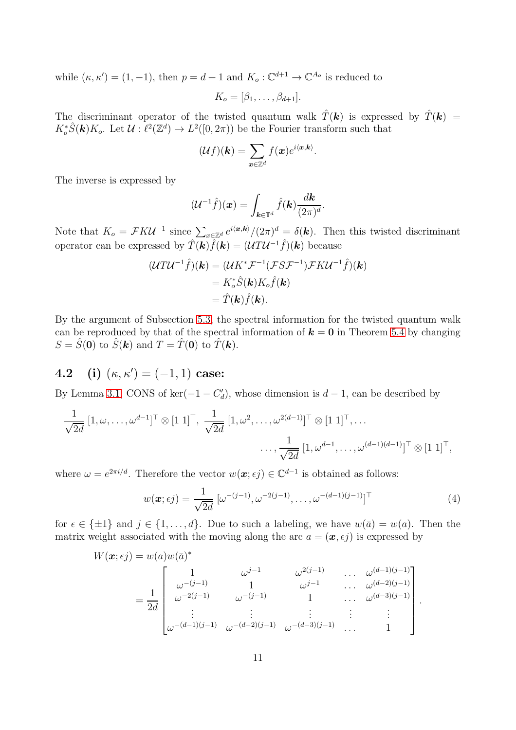while  $(\kappa, \kappa') = (1, -1)$ , then  $p = d + 1$  and  $K_o : \mathbb{C}^{d+1} \to \mathbb{C}^{A_o}$  is reduced to

 $K_o = [\beta_1, \ldots, \beta_{d+1}].$ 

The discriminant operator of the twisted quantum walk  $\hat{T}(\mathbf{k})$  is expressed by  $\hat{T}(\mathbf{k})$  =  $K_o^* \hat{S}(\mathbf{k}) K_o$ . Let  $\mathcal{U} : \ell^2(\mathbb{Z}^d) \to L^2([0, 2\pi))$  be the Fourier transform such that

$$
(\mathcal{U}f)(\mathbf{k}) = \sum_{\mathbf{x}\in\mathbb{Z}^d} f(\mathbf{x})e^{i\langle\mathbf{x},\mathbf{k}\rangle}
$$

.

The inverse is expressed by

$$
(\mathcal{U}^{-1}\hat{f})(\boldsymbol{x}) = \int_{\boldsymbol{k}\in\mathbb{T}^d} \hat{f}(\boldsymbol{k}) \frac{d\boldsymbol{k}}{(2\pi)^d}.
$$

Note that  $K_o = \mathcal{F}K\mathcal{U}^{-1}$  since  $\sum_{x \in \mathbb{Z}^d} e^{i\langle x, k \rangle}/(2\pi)^d = \delta(\mathbf{k})$ . Then this twisted discriminant operator can be expressed by  $\hat{T}(\mathbf{k})\hat{f}(\mathbf{k}) = (UTU^{-1}\hat{f})(\mathbf{k})$  because

$$
(\mathcal{U} \mathcal{I} \mathcal{U}^{-1} \hat{f})(\mathbf{k}) = (\mathcal{U} K^* \mathcal{F}^{-1} (\mathcal{F} S \mathcal{F}^{-1}) \mathcal{F} K \mathcal{U}^{-1} \hat{f})(\mathbf{k})
$$
  
=  $K_o^* \hat{S}(\mathbf{k}) K_o \hat{f}(\mathbf{k})$   
=  $\hat{T}(\mathbf{k}) \hat{f}(\mathbf{k}).$ 

By the argument of Subsection [5.3,](#page-25-0) the spectral information for the twisted quantum walk can be reproduced by that of the spectral information of  $k = 0$  in Theorem [5.4](#page-20-0) by changing  $S = \hat{S}(\mathbf{0})$  to  $\hat{S}(\mathbf{k})$  and  $T = \hat{T}(\mathbf{0})$  to  $\hat{T}(\mathbf{k})$ .

**4.2** (i)  $(\kappa, \kappa') = (-1, 1)$  case:

By Lemma [3.1,](#page-5-0) CONS of ker( $-1 - C'_d$ ), whose dimension is  $d - 1$ , can be described by

$$
\frac{1}{\sqrt{2d}}\left[1,\omega,\ldots,\omega^{d-1}\right]^{\top}\otimes\left[1\ 1\right]^{\top},\ \frac{1}{\sqrt{2d}}\left[1,\omega^2,\ldots,\omega^{2(d-1)}\right]^{\top}\otimes\left[1\ 1\right]^{\top},\ldots
$$

$$
\ldots,\frac{1}{\sqrt{2d}}\left[1,\omega^{d-1},\ldots,\omega^{(d-1)(d-1)}\right]^{\top}\otimes\left[1\ 1\right]^{\top},
$$

where  $\omega = e^{2\pi i/d}$ . Therefore the vector  $w(\boldsymbol{x}; \epsilon j) \in \mathbb{C}^{d-1}$  is obtained as follows:

<span id="page-10-0"></span>
$$
w(\boldsymbol{x}; \epsilon j) = \frac{1}{\sqrt{2d}} \left[ \omega^{-(j-1)}, \omega^{-2(j-1)}, \dots, \omega^{-(d-1)(j-1)} \right]^\top \tag{4}
$$

.

for  $\epsilon \in {\pm 1}$  and  $j \in \{1, ..., d\}$ . Due to such a labeling, we have  $w(\bar{a}) = w(a)$ . Then the matrix weight associated with the moving along the arc  $a = (\mathbf{x}, \epsilon i)$  is expressed by

$$
W(\boldsymbol{x};\epsilon j) = w(a)w(\bar{a})^*
$$
  
=  $\frac{1}{2d}$ \n
$$
\begin{bmatrix}\n1 & \omega^{j-1} & \omega^{2(j-1)} & \dots & \omega^{(d-1)(j-1)} \\
\omega^{-(j-1)} & 1 & \omega^{j-1} & \dots & \omega^{(d-2)(j-1)} \\
\omega^{-2(j-1)} & \omega^{-(j-1)} & 1 & \dots & \omega^{(d-3)(j-1)} \\
\vdots & \vdots & \vdots & \vdots & \vdots \\
\omega^{-(d-1)(j-1)} & \omega^{-(d-2)(j-1)} & \omega^{-(d-3)(j-1)} & \dots & 1\n\end{bmatrix}
$$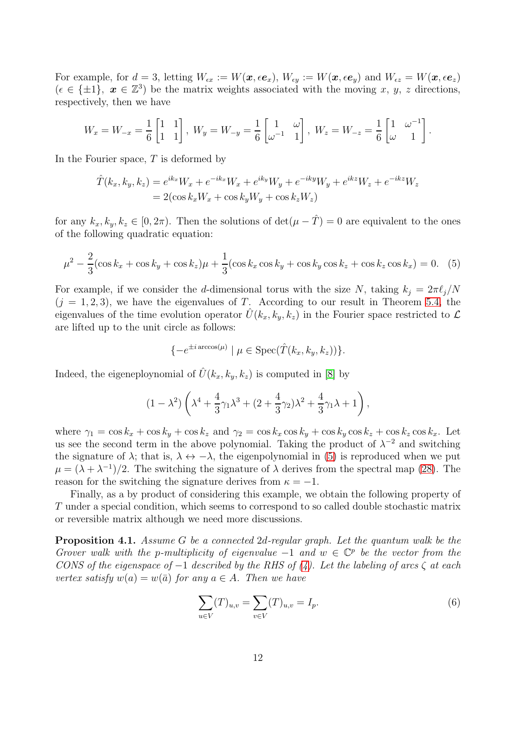For example, for  $d=3$ , letting  $W_{\epsilon x} := W(\boldsymbol{x}, \epsilon \boldsymbol{e}_x), W_{\epsilon y} := W(\boldsymbol{x}, \epsilon \boldsymbol{e}_y)$  and  $W_{\epsilon z} = W(\boldsymbol{x}, \epsilon \boldsymbol{e}_z)$  $(\epsilon \in {\pm 1}$ ,  $x \in \mathbb{Z}^3)$  be the matrix weights associated with the moving x, y, z directions, respectively, then we have

$$
W_x = W_{-x} = \frac{1}{6} \begin{bmatrix} 1 & 1 \\ 1 & 1 \end{bmatrix}, W_y = W_{-y} = \frac{1}{6} \begin{bmatrix} 1 & \omega \\ \omega^{-1} & 1 \end{bmatrix}, W_z = W_{-z} = \frac{1}{6} \begin{bmatrix} 1 & \omega^{-1} \\ \omega & 1 \end{bmatrix}.
$$

In the Fourier space,  $T$  is deformed by

$$
\hat{T}(k_x, k_y, k_z) = e^{ik_x} W_x + e^{-ik_x} W_x + e^{ik_y} W_y + e^{-ik_y} W_y + e^{ik_z} W_z + e^{-ik_z} W_z \n= 2(\cos k_x W_x + \cos k_y W_y + \cos k_z W_z)
$$

for any  $k_x, k_y, k_z \in [0, 2\pi)$ . Then the solutions of  $\det(\mu - \hat{T}) = 0$  are equivalent to the ones of the following quadratic equation:

$$
\mu^2 - \frac{2}{3}(\cos k_x + \cos k_y + \cos k_z)\mu + \frac{1}{3}(\cos k_x \cos k_y + \cos k_y \cos k_z + \cos k_z \cos k_x) = 0. \tag{5}
$$

For example, if we consider the d-dimensional torus with the size N, taking  $k_i = 2\pi \ell_i/N$  $(j = 1, 2, 3)$ , we have the eigenvalues of T. According to our result in Theorem [5.4,](#page-20-0) the eigenvalues of the time evolution operator  $\hat{U}(k_x, k_y, k_z)$  in the Fourier space restricted to  $\mathcal{L}$ are lifted up to the unit circle as follows:

<span id="page-11-0"></span>
$$
\{-e^{\pm i\arccos(\mu)} \mid \mu \in \text{Spec}(\hat{T}(k_x, k_y, k_z))\}.
$$

Indeed, the eigeneploynomial of  $\hat{U}(k_x, k_y, k_z)$  is computed in [\[8\]](#page-27-14) by

$$
(1 - \lambda^2) \left( \lambda^4 + \frac{4}{3} \gamma_1 \lambda^3 + (2 + \frac{4}{3} \gamma_2) \lambda^2 + \frac{4}{3} \gamma_1 \lambda + 1 \right),
$$

where  $\gamma_1 = \cos k_x + \cos k_y + \cos k_z$  and  $\gamma_2 = \cos k_x \cos k_y + \cos k_y \cos k_z + \cos k_z \cos k_x$ . Let us see the second term in the above polynomial. Taking the product of  $\lambda^{-2}$  and switching the signature of  $\lambda$ ; that is,  $\lambda \leftrightarrow -\lambda$ , the eigenpolynomial in [\(5\)](#page-11-0) is reproduced when we put  $\mu = (\lambda + \lambda^{-1})/2$ . The switching the signature of  $\lambda$  derives from the spectral map [\(28\)](#page-22-1). The reason for the switching the signature derives from  $\kappa = -1$ .

Finally, as a by product of considering this example, we obtain the following property of T under a special condition, which seems to correspond to so called double stochastic matrix or reversible matrix although we need more discussions.

**Proposition 4.1.** Assume G be a connected 2d-regular graph. Let the quantum walk be the Grover walk with the p-multiplicity of eigenvalue  $-1$  and  $w \in \mathbb{C}^p$  be the vector from the CONS of the eigenspace of  $-1$  described by the RHS of  $(4)$ . Let the labeling of arcs  $\zeta$  at each vertex satisfy  $w(a) = w(\bar{a})$  for any  $a \in A$ . Then we have

$$
\sum_{u \in V} (T)_{u,v} = \sum_{v \in V} (T)_{u,v} = I_p.
$$
\n(6)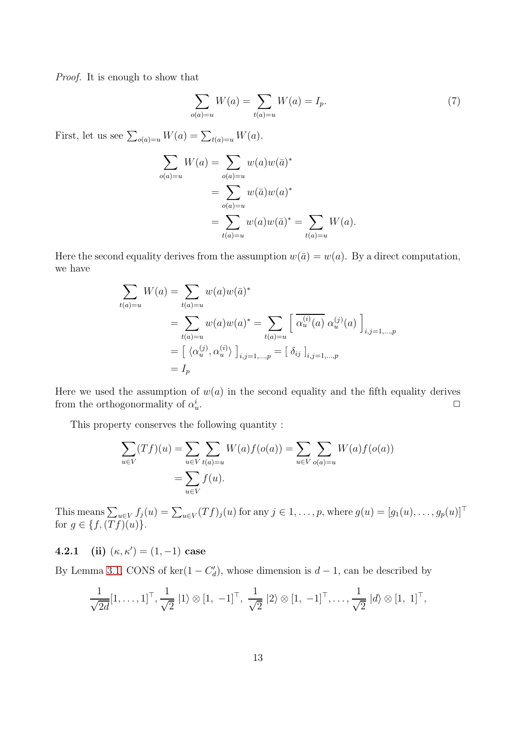Proof. It is enough to show that

$$
\sum_{o(a)=u} W(a) = \sum_{t(a)=u} W(a) = I_p.
$$
 (7)

First, let us see  $\sum_{o(a)=u} W(a) = \sum_{t(a)=u} W(a)$ .

$$
\sum_{o(a)=u} W(a) = \sum_{o(a)=u} w(a)w(\bar{a})^*
$$
  
= 
$$
\sum_{o(a)=u} w(\bar{a})w(a)^*
$$
  
= 
$$
\sum_{t(a)=u} w(a)w(\bar{a})^* = \sum_{t(a)=u} W(a).
$$

Here the second equality derives from the assumption  $w(\bar{a}) = w(a)$ . By a direct computation, we have

$$
\sum_{t(a)=u} W(a) = \sum_{t(a)=u} w(a)w(\bar{a})^*
$$
\n
$$
= \sum_{t(a)=u} w(a)w(a)^* = \sum_{t(a)=u} \left[ \overline{\alpha_u^{(i)}(a)} \ \alpha_u^{(j)}(a) \right]_{i,j=1,\dots,p}
$$
\n
$$
= \left[ \langle \alpha_u^{(j)}, \alpha_u^{(i)} \rangle \right]_{i,j=1,\dots,p} = \left[ \delta_{ij} \right]_{i,j=1,\dots,p}
$$
\n
$$
= I_p
$$

Here we used the assumption of  $w(a)$  in the second equality and the fifth equality derives from the orthogonormality of  $\alpha_u^i$ . ✷

This property conserves the following quantity :

$$
\sum_{u \in V} (Tf)(u) = \sum_{u \in V} \sum_{t(a) = u} W(a)f(o(a)) = \sum_{u \in V} \sum_{o(a) = u} W(a)f(o(a))
$$
  
= 
$$
\sum_{u \in V} f(u).
$$

This means  $\sum_{u \in V} f_j(u) = \sum_{u \in V} (Tf)_j(u)$  for any  $j \in 1, \ldots, p$ , where  $g(u) = [g_1(u), \ldots, g_p(u)]^\top$ for  $g \in \{f, (Tf)(u)\}.$ 

**4.2.1** (ii)  $(\kappa, \kappa') = (1, -1) \text{ case}$ 

By Lemma [3.1,](#page-5-0) CONS of ker $(1 - C'_d)$ , whose dimension is  $d - 1$ , can be described by

$$
\frac{1}{\sqrt{2d}}[1,\ldots,1]^{\top}, \frac{1}{\sqrt{2}} |1\rangle \otimes [1, -1]^{\top}, \frac{1}{\sqrt{2}} |2\rangle \otimes [1, -1]^{\top}, \ldots, \frac{1}{\sqrt{2}} |d\rangle \otimes [1, 1]^{\top},
$$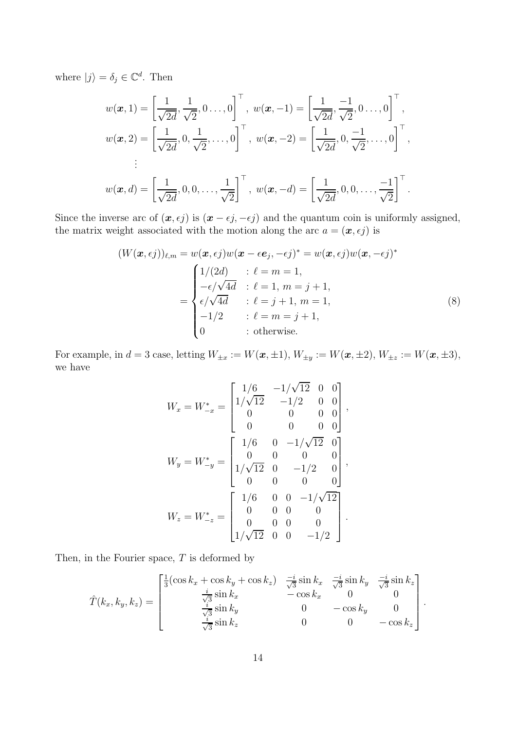where  $|j\rangle = \delta_j \in \mathbb{C}^d$ . Then

$$
w(\boldsymbol{x}, 1) = \left[\frac{1}{\sqrt{2d}}, \frac{1}{\sqrt{2}}, 0 \dots, 0\right]^\top, \ w(\boldsymbol{x}, -1) = \left[\frac{1}{\sqrt{2d}}, \frac{-1}{\sqrt{2}}, 0 \dots, 0\right]^\top, w(\boldsymbol{x}, 2) = \left[\frac{1}{\sqrt{2d}}, 0, \frac{1}{\sqrt{2}}, \dots, 0\right]^\top, \ w(\boldsymbol{x}, -2) = \left[\frac{1}{\sqrt{2d}}, 0, \frac{-1}{\sqrt{2}}, \dots, 0\right]^\top, \vdots w(\boldsymbol{x}, d) = \left[\frac{1}{\sqrt{2d}}, 0, 0, \dots, \frac{1}{\sqrt{2}}\right]^\top, \ w(\boldsymbol{x}, -d) = \left[\frac{1}{\sqrt{2d}}, 0, 0, \dots, \frac{-1}{\sqrt{2}}\right]^\top.
$$

Since the inverse arc of  $(x, \epsilon j)$  is  $(x - \epsilon j, -\epsilon j)$  and the quantum coin is uniformly assigned, the matrix weight associated with the motion along the arc  $a = (\mathbf{x}, \epsilon j)$  is

$$
(W(\boldsymbol{x}, \epsilon j))_{\ell,m} = w(\boldsymbol{x}, \epsilon j)w(\boldsymbol{x} - \epsilon \boldsymbol{e}_j, -\epsilon j)^* = w(\boldsymbol{x}, \epsilon j)w(\boldsymbol{x}, -\epsilon j)^*
$$

$$
= \begin{cases} 1/(2d) & \text{: } \ell = m = 1, \\ -\epsilon/\sqrt{4d} & \text{: } \ell = 1, m = j + 1, \\ \epsilon/\sqrt{4d} & \text{: } \ell = j + 1, m = 1, \\ -1/2 & \text{: } \ell = m = j + 1, \\ 0 & \text{: otherwise.} \end{cases}
$$
(8)

For example, in  $d = 3$  case, letting  $W_{\pm x} := W(\mathbf{x}, \pm 1)$ ,  $W_{\pm y} := W(\mathbf{x}, \pm 2)$ ,  $W_{\pm z} := W(\mathbf{x}, \pm 3)$ , we have

$$
W_x = W_{-x}^* = \begin{bmatrix} 1/6 & -1/\sqrt{12} & 0 & 0 \\ 1/\sqrt{12} & -1/2 & 0 & 0 \\ 0 & 0 & 0 & 0 \\ 0 & 0 & 0 & 0 \end{bmatrix},
$$
  
\n
$$
W_y = W_{-y}^* = \begin{bmatrix} 1/6 & 0 & -1/\sqrt{12} & 0 \\ 0 & 0 & 0 & 0 \\ 1/\sqrt{12} & 0 & -1/2 & 0 \\ 0 & 0 & 0 & 0 \end{bmatrix},
$$
  
\n
$$
W_z = W_{-z}^* = \begin{bmatrix} 1/6 & 0 & 0 & -1/\sqrt{12} \\ 0 & 0 & 0 & 0 \\ 0 & 0 & 0 & 0 \\ 1/\sqrt{12} & 0 & 0 & -1/2 \end{bmatrix}.
$$

Then, in the Fourier space,  $T$  is deformed by

$$
\hat{T}(k_x, k_y, k_z) = \begin{bmatrix}\n\frac{1}{3}(\cos k_x + \cos k_y + \cos k_z) & \frac{-i}{\sqrt{3}}\sin k_x & \frac{-i}{\sqrt{3}}\sin k_y & \frac{-i}{\sqrt{3}}\sin k_z \\
\frac{i}{\sqrt{3}}\sin k_x & -\cos k_x & 0 & 0 \\
\frac{i}{\sqrt{3}}\sin k_y & 0 & -\cos k_y & 0 \\
\frac{i}{\sqrt{3}}\sin k_z & 0 & 0 & -\cos k_z\n\end{bmatrix}.
$$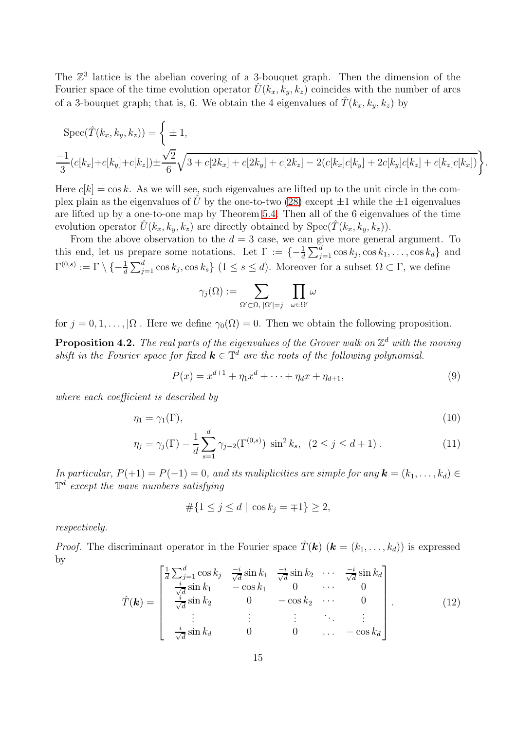The  $\mathbb{Z}^3$  lattice is the abelian covering of a 3-bouquet graph. Then the dimension of the Fourier space of the time evolution operator  $U(k_x, k_y, k_z)$  coincides with the number of arcs of a 3-bouquet graph; that is, 6. We obtain the 4 eigenvalues of  $\hat{T}(k_x, k_y, k_z)$  by

$$
\operatorname{Spec}(\hat{T}(k_x, k_y, k_z)) = \left\{ \pm 1, \frac{-1}{3} (c[k_x] + c[k_y] + c[k_z]) \pm \frac{\sqrt{2}}{6} \sqrt{3 + c[2k_x] + c[2k_y] + c[2k_z] - 2(c[k_x]c[k_y] + 2c[k_y]c[k_z] + c[k_z]c[k_x])} \right\}.
$$

Here  $c[k] = \cos k$ . As we will see, such eigenvalues are lifted up to the unit circle in the complex plain as the eigenvalues of  $\hat{U}$  by the one-to-two [\(28\)](#page-22-1) except  $\pm 1$  while the  $\pm 1$  eigenvalues are lifted up by a one-to-one map by Theorem [5.4.](#page-20-0) Then all of the 6 eigenvalues of the time evolution operator  $\hat{U}(k_x, k_y, k_z)$  are directly obtained by  $Spec(\hat{T}(k_x, k_y, k_z)).$ 

From the above observation to the  $d = 3$  case, we can give more general argument. To this end, let us prepare some notations. Let  $\Gamma := \{-\frac{1}{d} \sum_{j=1}^d \cos k_j, \cos k_1, \ldots, \cos k_d\}$  and  $\Gamma^{(0,s)} := \Gamma \setminus \{-\frac{1}{d} \sum_{j=1}^d \cos k_j, \cos k_s\}$   $(1 \leq s \leq d)$ . Moreover for a subset  $\Omega \subset \Gamma$ , we define

$$
\gamma_j(\Omega):=\sum_{\Omega'\subset \Omega,\,|\Omega'|=j}\ \ \prod_{\omega\in \Omega'}\omega
$$

for  $j = 0, 1, ..., |\Omega|$ . Here we define  $\gamma_0(\Omega) = 0$ . Then we obtain the following proposition.

<span id="page-14-1"></span>**Proposition 4.2.** The real parts of the eigenvalues of the Grover walk on  $\mathbb{Z}^d$  with the moving shift in the Fourier space for fixed  $k \in \mathbb{T}^d$  are the roots of the following polynomial.

$$
P(x) = x^{d+1} + \eta_1 x^d + \dots + \eta_d x + \eta_{d+1},
$$
\n(9)

where each coefficient is described by

$$
\eta_1 = \gamma_1(\Gamma),\tag{10}
$$

$$
\eta_j = \gamma_j(\Gamma) - \frac{1}{d} \sum_{s=1}^d \gamma_{j-2}(\Gamma^{(0,s)}) \sin^2 k_s, \ (2 \le j \le d+1).
$$
 (11)

In particular,  $P(+1) = P(-1) = 0$ , and its muliplicities are simple for any  $\mathbf{k} = (k_1, \ldots, k_d) \in$  $\mathbb{T}^d$  except the wave numbers satisfying

$$
\#\{1 \le j \le d \mid \cos k_j = \mp 1\} \ge 2,
$$

respectively.

*Proof.* The discriminant operator in the Fourier space  $\hat{T}(\mathbf{k})$  ( $\mathbf{k} = (k_1, \ldots, k_d)$ ) is expressed by

<span id="page-14-0"></span>
$$
\hat{T}(\mathbf{k}) = \begin{bmatrix}\n\frac{1}{d} \sum_{j=1}^{d} \cos k_j & \frac{-i}{\sqrt{d}} \sin k_1 & \frac{-i}{\sqrt{d}} \sin k_2 & \cdots & \frac{-i}{\sqrt{d}} \sin k_d \\
\frac{i}{\sqrt{d}} \sin k_1 & -\cos k_1 & 0 & \cdots & 0 \\
\frac{i}{\sqrt{d}} \sin k_2 & 0 & -\cos k_2 & \cdots & 0 \\
\vdots & \vdots & \vdots & \ddots & \vdots \\
\frac{i}{\sqrt{d}} \sin k_d & 0 & 0 & \cdots & -\cos k_d\n\end{bmatrix} .
$$
\n(12)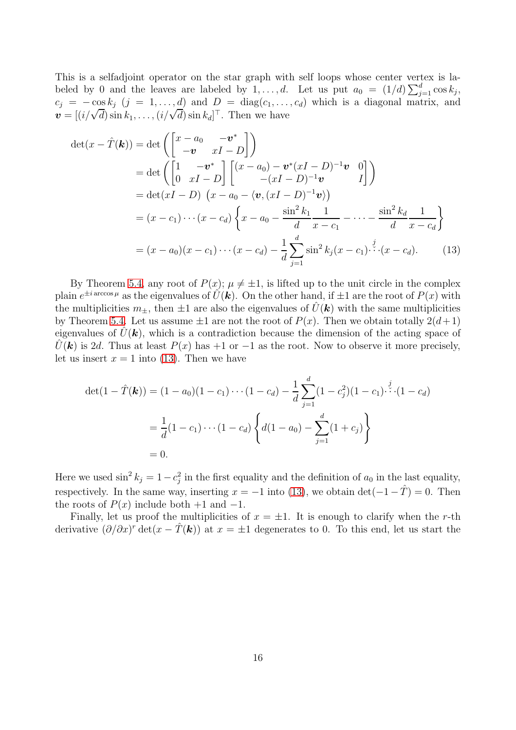This is a selfadjoint operator on the star graph with self loops whose center vertex is labeled by 0 and the leaves are labeled by  $1, \ldots, d$ . Let us put  $a_0 = (1/d) \sum_{j=1}^d \cos k_j$ ,  $c_j = -\cos k_j$   $(j = 1, ..., d)$  and  $D = \text{diag}(c_1, ..., c_d)$  which is a diagonal matrix, and  $\mathbf{v} = [(i/\sqrt{d}) \sin k_1, \ldots, (i/\sqrt{d}) \sin k_d]^\top$ . Then we have

$$
\det(x - \hat{T}(\mathbf{k})) = \det \left( \begin{bmatrix} x - a_0 & -\mathbf{v}^* \\ -\mathbf{v} & xI - D \end{bmatrix} \right)
$$
  
\n
$$
= \det \left( \begin{bmatrix} 1 & -\mathbf{v}^* \\ 0 & xI - D \end{bmatrix} \begin{bmatrix} (x - a_0) - \mathbf{v}^*(xI - D)^{-1}\mathbf{v} & 0 \\ - (xI - D)^{-1}\mathbf{v} & I \end{bmatrix} \right)
$$
  
\n
$$
= \det(xI - D) \left( x - a_0 - \langle \mathbf{v}, (xI - D)^{-1}\mathbf{v} \rangle \right)
$$
  
\n
$$
= (x - c_1) \cdots (x - c_d) \left\{ x - a_0 - \frac{\sin^2 k_1}{d} \frac{1}{x - c_1} - \cdots - \frac{\sin^2 k_d}{d} \frac{1}{x - c_d} \right\}
$$
  
\n
$$
= (x - a_0)(x - c_1) \cdots (x - c_d) - \frac{1}{d} \sum_{j=1}^d \sin^2 k_j (x - c_1) \cdots (x - c_d). \qquad (13)
$$

By Theorem [5.4,](#page-20-0) any root of  $P(x)$ ;  $\mu \neq \pm 1$ , is lifted up to the unit circle in the complex plain  $e^{\pm i \arccos \mu}$  as the eigenvalues of  $\hat{U}(\boldsymbol{k})$ . On the other hand, if  $\pm 1$  are the root of  $P(x)$  with the multiplicities  $m_{+}$ , then  $\pm 1$  are also the eigenvalues of  $\hat{U}(\mathbf{k})$  with the same multiplicities by Theorem [5.4.](#page-20-0) Let us assume  $\pm 1$  are not the root of  $P(x)$ . Then we obtain totally  $2(d+1)$ eigenvalues of  $U(\mathbf{k})$ , which is a contradiction because the dimension of the acting space of  $\hat{U}(\mathbf{k})$  is 2d. Thus at least  $P(x)$  has +1 or -1 as the root. Now to observe it more precisely, let us insert  $x = 1$  into [\(13\)](#page-15-0). Then we have

<span id="page-15-0"></span>
$$
\det(1 - \hat{T}(\mathbf{k})) = (1 - a_0)(1 - c_1) \cdots (1 - c_d) - \frac{1}{d} \sum_{j=1}^d (1 - c_j^2)(1 - c_1) \cdots (1 - c_d)
$$

$$
= \frac{1}{d}(1 - c_1) \cdots (1 - c_d) \left\{ d(1 - a_0) - \sum_{j=1}^d (1 + c_j) \right\}
$$

$$
= 0.
$$

Here we used  $\sin^2 k_j = 1 - c_j^2$  in the first equality and the definition of  $a_0$  in the last equality, respectively. In the same way, inserting  $x = -1$  into [\(13\)](#page-15-0), we obtain det( $-1 - \hat{T}$ ) = 0. Then the roots of  $P(x)$  include both +1 and -1.

Finally, let us proof the multiplicities of  $x = \pm 1$ . It is enough to clarify when the r-th derivative  $(\partial/\partial x)^r \det(x - \hat{T}(\mathbf{k}))$  at  $x = \pm 1$  degenerates to 0. To this end, let us start the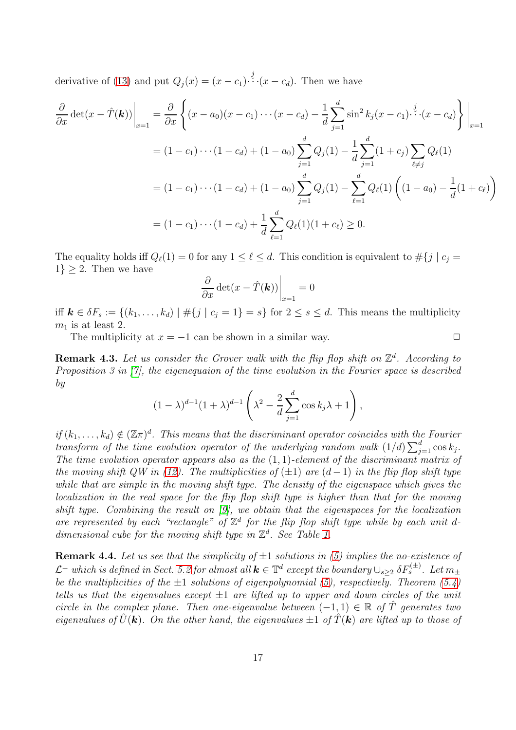derivative of [\(13\)](#page-15-0) and put  $Q_j(x) = (x - c_1) \cdot \dot{x} \cdot (x - c_d)$ . Then we have

$$
\frac{\partial}{\partial x} \det(x - \hat{T}(\mathbf{k}))\Big|_{x=1} = \frac{\partial}{\partial x} \left\{ (x - a_0)(x - c_1) \cdots (x - c_d) - \frac{1}{d} \sum_{j=1}^d \sin^2 k_j (x - c_1) \cdots (x - c_d) \right\} \Big|_{x=1}
$$
  
\n
$$
= (1 - c_1) \cdots (1 - c_d) + (1 - a_0) \sum_{j=1}^d Q_j (1) - \frac{1}{d} \sum_{j=1}^d (1 + c_j) \sum_{\ell \neq j} Q_\ell (1)
$$
  
\n
$$
= (1 - c_1) \cdots (1 - c_d) + (1 - a_0) \sum_{j=1}^d Q_j (1) - \sum_{\ell=1}^d Q_\ell (1) \left( (1 - a_0) - \frac{1}{d} (1 + c_\ell) \right)
$$
  
\n
$$
= (1 - c_1) \cdots (1 - c_d) + \frac{1}{d} \sum_{\ell=1}^d Q_\ell (1) (1 + c_\ell) \ge 0.
$$

The equality holds iff  $Q_{\ell}(1) = 0$  for any  $1 \leq \ell \leq d$ . This condition is equivalent to  $\#\{j \mid c_j =$  $1\} \geq 2$ . Then we have

$$
\left. \frac{\partial}{\partial x} \det(x - \hat{T}(\mathbf{k})) \right|_{x=1} = 0
$$

iff  $k \in \delta F_s := \{(k_1, \ldots, k_d) \mid \#\{j \mid c_j = 1\} = s\}$  for  $2 \leq s \leq d$ . This means the multiplicity  $m_1$  is at least 2.

The multiplicity at  $x = -1$  can be shown in a similar way.  $\Box$ 

**Remark 4.3.** Let us consider the Grover walk with the flip flop shift on  $\mathbb{Z}^d$ . According to Proposition 3 in [\[7\]](#page-27-5), the eigenequaion of the time evolution in the Fourier space is described by

$$
(1 - \lambda)^{d-1} (1 + \lambda)^{d-1} \left( \lambda^2 - \frac{2}{d} \sum_{j=1}^d \cos k_j \lambda + 1 \right),
$$

if  $(k_1,\ldots,k_d) \notin (\mathbb{Z}\pi)^d$ . This means that the discriminant operator coincides with the Fourier transform of the time evolution operator of the underlying random walk  $(1/d)\sum_{j=1}^d \cos k_j$ . The time evolution operator appears also as the  $(1, 1)$ -element of the discriminant matrix of the moving shift QW in [\(12\)](#page-14-0). The multiplicities of  $(\pm 1)$  are  $(d-1)$  in the flip flop shift type while that are simple in the moving shift type. The density of the eigenspace which gives the localization in the real space for the flip flop shift type is higher than that for the moving shift type. Combining the result on [\[9\]](#page-27-12), we obtain that the eigenspaces for the localization are represented by each "rectangle" of  $\mathbb{Z}^d$  for the flip flop shift type while by each unit ddimensional cube for the moving shift type in  $\mathbb{Z}^d$ . See Table [1.](#page-17-0)

**Remark 4.4.** Let us see that the simplicity of  $\pm 1$  solutions in [\(5\)](#page-11-0) implies the no-existence of  $\mathcal{L}^\perp$  which is defined in Sect. [5.2](#page-19-0) for almost all  $\mathbf{k}\in\mathbb{T}^d$  except the boundary  $\cup_{s\geq 2} \delta F_s^{(\pm)}$ . Let  $m_\pm$ be the multiplicities of the  $\pm 1$  solutions of eigenpolynomial [\(5\)](#page-11-0), respectively. Theorem [\(5.4\)](#page-20-0) tells us that the eigenvalues except  $\pm 1$  are lifted up to upper and down circles of the unit circle in the complex plane. Then one-eigenvalue between  $(-1,1) \in \mathbb{R}$  of  $\hat{T}$  generates two eigenvalues of  $\hat{U}(\mathbf{k})$ . On the other hand, the eigenvalues  $\pm 1$  of  $\hat{T}(\mathbf{k})$  are lifted up to those of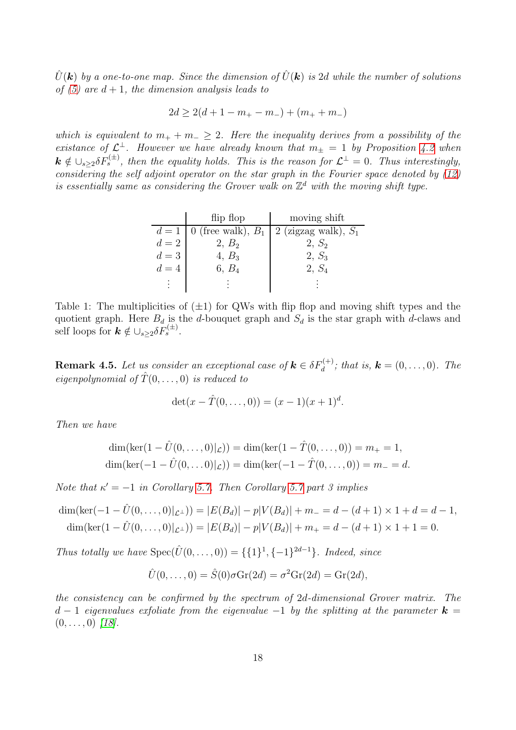$\hat{U}(\mathbf{k})$  by a one-to-one map. Since the dimension of  $\hat{U}(\mathbf{k})$  is 2d while the number of solutions of [\(5\)](#page-11-0) are  $d+1$ , the dimension analysis leads to

$$
2d \ge 2(d+1-m_{+}-m_{-})+(m_{+}+m_{-})
$$

which is equivalent to  $m_+ + m_- \geq 2$ . Here the inequality derives from a possibility of the existance of  $\mathcal{L}^{\perp}$ . However we have already known that  $m_{\pm} = 1$  by Proposition [4.2](#page-14-1) when  $k \notin \cup_{s\geq 2} \delta F_s^{(\pm)}$ , then the equality holds. This is the reason for  $\mathcal{L}^{\perp} = 0$ . Thus interestingly, considering the self adjoint operator on the star graph in the Fourier space denoted by [\(12\)](#page-14-0) is essentially same as considering the Grover walk on  $\mathbb{Z}^d$  with the moving shift type.

|       | flip flop | moving shift                                          |
|-------|-----------|-------------------------------------------------------|
|       |           | $d=1$   0 (free walk), $B_1$   2 (zigzag walk), $S_1$ |
| $d=2$ | $2, B_2$  | $2, S_2$                                              |
| $d=3$ | $4, B_3$  | $2, S_3$                                              |
| $d=4$ | 6, $B_4$  | $2, S_4$                                              |
|       |           |                                                       |

<span id="page-17-0"></span>Table 1: The multiplicities of  $(\pm 1)$  for QWs with flip flop and moving shift types and the quotient graph. Here  $B_d$  is the d-bouquet graph and  $S_d$  is the star graph with d-claws and self loops for  $\mathbf{k} \notin \cup_{s\geq 2} \delta F_s^{(\pm)}$ .

**Remark 4.5.** Let us consider an exceptional case of  $\mathbf{k} \in \delta F_d^{(+)}$ ; that is,  $\mathbf{k} = (0, \ldots, 0)$ . The eigenpolynomial of  $\hat{T}(0, \ldots, 0)$  is reduced to

$$
\det(x - \hat{T}(0, ..., 0)) = (x - 1)(x + 1)^d.
$$

Then we have

$$
\dim(\ker(1 - \hat{U}(0, ..., 0)|_{\mathcal{L}})) = \dim(\ker(1 - \hat{T}(0, ..., 0)) = m_{+} = 1,
$$
  

$$
\dim(\ker(-1 - \hat{U}(0, ..., 0)|_{\mathcal{L}})) = \dim(\ker(-1 - \hat{T}(0, ..., 0)) = m_{-} = d.
$$

Note that  $\kappa' = -1$  in Corollary [5.7.](#page-23-0) Then Corollary [5.7](#page-23-0) part 3 implies

$$
\dim(\ker(-1 - \hat{U}(0, ..., 0)|_{\mathcal{L}^\perp})) = |E(B_d)| - p|V(B_d)| + m_- = d - (d+1) \times 1 + d = d-1,
$$
  

$$
\dim(\ker(1 - \hat{U}(0, ..., 0)|_{\mathcal{L}^\perp})) = |E(B_d)| - p|V(B_d)| + m_+ = d - (d+1) \times 1 + 1 = 0.
$$

Thus totally we have  $Spec(\hat{U}(0, ..., 0)) = \{\{1\}^1, \{-1\}^{2d-1}\}.$  Indeed, since

$$
\hat{U}(0,\ldots,0) = \hat{S}(0)\sigma \mathrm{Gr}(2d) = \sigma^2 \mathrm{Gr}(2d) = \mathrm{Gr}(2d),
$$

the consistency can be confirmed by the spectrum of 2d-dimensional Grover matrix. The d − 1 eigenvalues exfoliate from the eigenvalue −1 by the splitting at the parameter  $\mathbf{k} =$  $(0, \ldots, 0)$  [\[18\]](#page-28-1).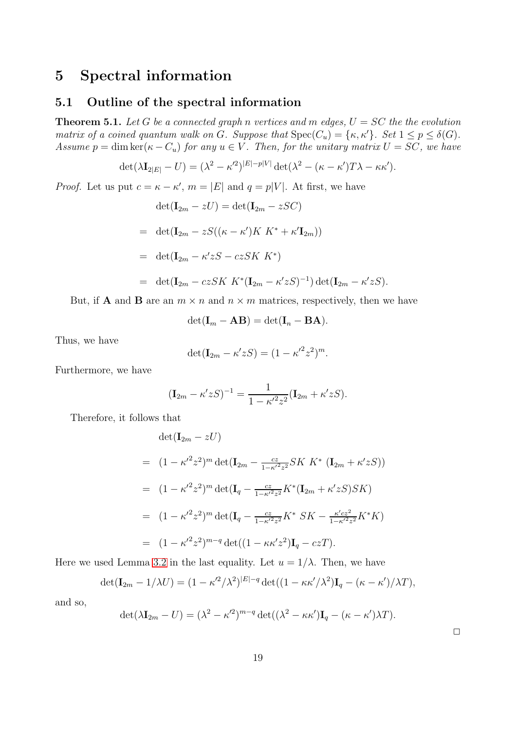## 5 Spectral information

### 5.1 Outline of the spectral information

<span id="page-18-0"></span>**Theorem 5.1.** Let G be a connected graph n vertices and m edges,  $U = SC$  the the evolution matrix of a coined quantum walk on G. Suppose that  $Spec(C_u) = \{\kappa, \kappa'\}$ . Set  $1 \leq p \leq \delta(G)$ . Assume  $p = \dim \ker(\kappa - C_u)$  for any  $u \in V$ . Then, for the unitary matrix  $U = SC$ , we have

$$
\det(\lambda \mathbf{I}_{2|E|} - U) = (\lambda^2 - \kappa'^2)^{|E| - p|V|} \det(\lambda^2 - (\kappa - \kappa')T\lambda - \kappa \kappa').
$$

*Proof.* Let us put  $c = \kappa - \kappa'$ ,  $m = |E|$  and  $q = p|V|$ . At first, we have

$$
\det(\mathbf{I}_{2m} - zU) = \det(\mathbf{I}_{2m} - zSC)
$$
  
= 
$$
\det(\mathbf{I}_{2m} - zS((\kappa - \kappa')K K^* + \kappa'\mathbf{I}_{2m}))
$$
  
= 
$$
\det(\mathbf{I}_{2m} - \kappa'zS - czSK K^*)
$$
  
= 
$$
\det(\mathbf{I}_{2m} - czSK K^*(\mathbf{I}_{2m} - \kappa'zS)^{-1}) \det(\mathbf{I}_{2m} - \kappa'zS).
$$

But, if **A** and **B** are an  $m \times n$  and  $n \times m$  matrices, respectively, then we have

$$
\det(\mathbf{I}_m - \mathbf{A}\mathbf{B}) = \det(\mathbf{I}_n - \mathbf{B}\mathbf{A}).
$$

Thus, we have

$$
\det(\mathbf{I}_{2m} - \kappa' zS) = (1 - {\kappa'}^2 z^2)^m.
$$

Furthermore, we have

$$
(\mathbf{I}_{2m} - \kappa' z S)^{-1} = \frac{1}{1 - \kappa'^2 z^2} (\mathbf{I}_{2m} + \kappa' z S).
$$

Therefore, it follows that

$$
\det(\mathbf{I}_{2m} - zU)
$$
  
=  $(1 - \kappa'^2 z^2)^m \det(\mathbf{I}_{2m} - \frac{cz}{1 - \kappa'^2 z^2} S K K^* (\mathbf{I}_{2m} + \kappa' zS))$   
=  $(1 - \kappa'^2 z^2)^m \det(\mathbf{I}_q - \frac{cz}{1 - \kappa'^2 z^2} K^* (\mathbf{I}_{2m} + \kappa' zS) S K)$   
=  $(1 - \kappa'^2 z^2)^m \det(\mathbf{I}_q - \frac{cz}{1 - \kappa'^2 z^2} K^* S K - \frac{\kappa' cz^2}{1 - \kappa'^2 z^2} K^* K)$   
=  $(1 - \kappa'^2 z^2)^{m-q} \det((1 - \kappa \kappa' z^2) \mathbf{I}_q - czT).$ 

Here we used Lemma [3.2](#page-7-0) in the last equality. Let  $u = 1/\lambda$ . Then, we have

$$
\det(\mathbf{I}_{2m} - 1/\lambda U) = (1 - \kappa'^2/\lambda^2)^{|E| - q} \det((1 - \kappa \kappa'/\lambda^2) \mathbf{I}_q - (\kappa - \kappa')/\lambda T),
$$

and so,

$$
\det(\lambda \mathbf{I}_{2m} - U) = (\lambda^2 - \kappa'^2)^{m-q} \det((\lambda^2 - \kappa \kappa') \mathbf{I}_q - (\kappa - \kappa') \lambda T).
$$

 $\Box$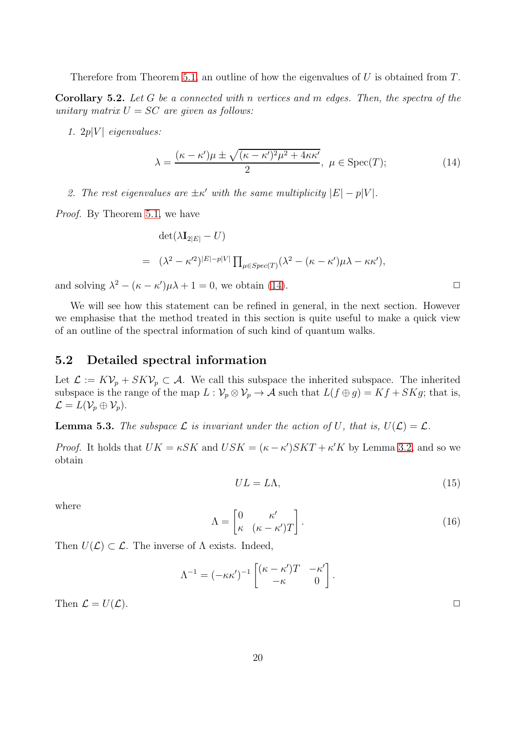Therefore from Theorem [5.1,](#page-18-0) an outline of how the eigenvalues of  $U$  is obtained from  $T$ .

<span id="page-19-2"></span>Corollary 5.2. Let G be a connected with n vertices and m edges. Then, the spectra of the unitary matrix  $U = SC$  are given as follows:

1.  $2p|V|$  eigenvalues:

<span id="page-19-1"></span>
$$
\lambda = \frac{(\kappa - \kappa')\mu \pm \sqrt{(\kappa - \kappa')^2 \mu^2 + 4\kappa \kappa'}}{2}, \ \mu \in \text{Spec}(T); \tag{14}
$$

2. The rest eigenvalues are  $\pm \kappa'$  with the same multiplicity  $|E| - p|V|$ .

Proof. By Theorem [5.1,](#page-18-0) we have

$$
\begin{aligned}\n\det(\lambda \mathbf{I}_{2|E|} - U) \\
&= (\lambda^2 - \kappa'^2)^{|E| - p|V|} \prod_{\mu \in Spec(T)} (\lambda^2 - (\kappa - \kappa')\mu\lambda - \kappa\kappa'),\n\end{aligned}
$$

and solving  $\lambda^2 - (\kappa - \kappa')\mu\lambda + 1 = 0$ , we obtain [\(14\)](#page-19-1).

We will see how this statement can be refined in general, in the next section. However we emphasise that the method treated in this section is quite useful to make a quick view of an outline of the spectral information of such kind of quantum walks.

### <span id="page-19-0"></span>5.2 Detailed spectral information

Let  $\mathcal{L} := K\mathcal{V}_p + SK\mathcal{V}_p \subset \mathcal{A}$ . We call this subspace the inherited subspace. The inherited subspace is the range of the map  $L: \mathcal{V}_p \otimes \mathcal{V}_p \to \mathcal{A}$  such that  $L(f \oplus g) = Kf + SKg$ ; that is,  $\mathcal{L} = L(\mathcal{V}_p \oplus \mathcal{V}_p).$ 

**Lemma 5.3.** The subspace  $\mathcal L$  is invariant under the action of U, that is,  $U(\mathcal L) = \mathcal L$ .

*Proof.* It holds that  $UK = \kappa SK$  and  $USK = (\kappa - \kappa')SKT + \kappa'K$  by Lemma [3.2,](#page-7-0) and so we obtain

$$
UL = L\Lambda,\tag{15}
$$

where

<span id="page-19-3"></span>
$$
\Lambda = \begin{bmatrix} 0 & \kappa' \\ \kappa & (\kappa - \kappa')T \end{bmatrix} . \tag{16}
$$

Then  $U(\mathcal{L}) \subset \mathcal{L}$ . The inverse of  $\Lambda$  exists. Indeed,

$$
\Lambda^{-1} = (-\kappa \kappa')^{-1} \begin{bmatrix} (\kappa - \kappa')T & -\kappa' \\ -\kappa & 0 \end{bmatrix}.
$$

Then  $\mathcal{L} = U(\mathcal{L})$ .

<span id="page-19-4"></span>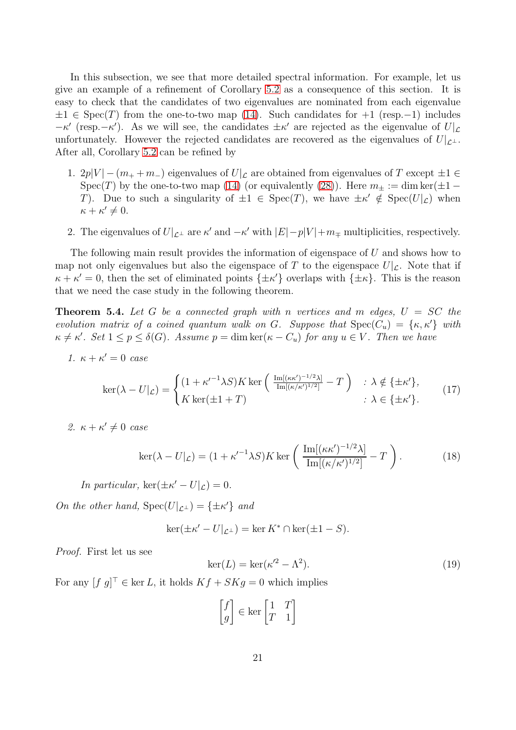In this subsection, we see that more detailed spectral information. For example, let us give an example of a refinement of Corollary [5.2](#page-19-2) as a consequence of this section. It is easy to check that the candidates of two eigenvalues are nominated from each eigenvalue  $\pm 1 \in \text{Spec}(T)$  from the one-to-two map [\(14\)](#page-19-1). Such candidates for  $+1$  (resp. -1) includes  $-κ'$  (resp. $-κ'$ ). As we will see, the candidates  $±κ'$  are rejected as the eigenvalue of  $U|_L$ unfortunately. However the rejected candidates are recovered as the eigenvalues of  $U|_{\mathcal{L}^{\perp}}$ . After all, Corollary [5.2](#page-19-2) can be refined by

- 1. 2p|V |  $-(m_+ + m_-)$  eigenvalues of  $U|\mathcal{L}$  are obtained from eigenvalues of T except  $\pm 1 \in$ Spec(T) by the one-to-two map [\(14\)](#page-19-1) (or equivalently [\(28\)](#page-22-1)). Here  $m_{\pm} := \dim \ker(\pm 1 -$ T). Due to such a singularity of  $\pm 1 \in \text{Spec}(T)$ , we have  $\pm \kappa' \notin \text{Spec}(U|\mathcal{L})$  when  $\kappa + \kappa' \neq 0.$
- 2. The eigenvalues of  $U|_{\mathcal{L}^{\perp}}$  are  $\kappa'$  and  $-\kappa'$  with  $|E|-p|V|+m_{\mp}$  multiplicities, respectively.

The following main result provides the information of eigenspace of U and shows how to map not only eigenvalues but also the eigenspace of T to the eigenspace  $U|\mathcal{L}$ . Note that if  $\kappa + \kappa' = 0$ , then the set of eliminated points  $\{\pm \kappa'\}$  overlaps with  $\{\pm \kappa\}$ . This is the reason that we need the case study in the following theorem.

<span id="page-20-0"></span>**Theorem 5.4.** Let G be a connected graph with n vertices and m edges,  $U = SC$  the evolution matrix of a coined quantum walk on G. Suppose that  $Spec(C_u) = {\kappa, \kappa'}$  with  $\kappa \neq \kappa'$ . Set  $1 \leq p \leq \delta(G)$ . Assume  $p = \dim \ker(\kappa - C_u)$  for any  $u \in V$ . Then we have

1.  $\kappa + \kappa' = 0$  case

$$
\ker(\lambda - U|\mathbf{L}) = \begin{cases} (1 + \kappa'^{-1}\lambda S)K \ker\left(\frac{\mathrm{Im}[(\kappa \kappa')^{-1/2}\lambda]}{\mathrm{Im}[(\kappa/\kappa')^{1/2}]} - T\right) & \colon \lambda \notin \{\pm \kappa'\}, \\ K \ker(\pm 1 + T) & \colon \lambda \in \{\pm \kappa'\}. \end{cases} \tag{17}
$$

2.  $\kappa + \kappa' \neq 0$  case

$$
\ker(\lambda - U|_{\mathcal{L}}) = (1 + \kappa'^{-1} \lambda S) K \ker\left(\frac{\operatorname{Im}[(\kappa \kappa')^{-1/2} \lambda]}{\operatorname{Im}[(\kappa/\kappa')^{1/2}]} - T\right). \tag{18}
$$

In particular,  $\ker(\pm \kappa' - U|\mathcal{L}) = 0$ .

On the other hand,  $Spec(U|_{\mathcal{L}^{\perp}}) = {\pm \kappa'}$  and

$$
\ker(\pm \kappa' - U|_{\mathcal{L}^\perp}) = \ker K^* \cap \ker(\pm 1 - S).
$$

Proof. First let us see

<span id="page-20-2"></span><span id="page-20-1"></span>
$$
\ker(L) = \ker(\kappa^2 - \Lambda^2). \tag{19}
$$

For any  $[f g]^\perp \in \text{ker } L$ , it holds  $Kf + SKg = 0$  which implies

$$
\begin{bmatrix} f \\ g \end{bmatrix} \in \ker \begin{bmatrix} 1 & T \\ T & 1 \end{bmatrix}
$$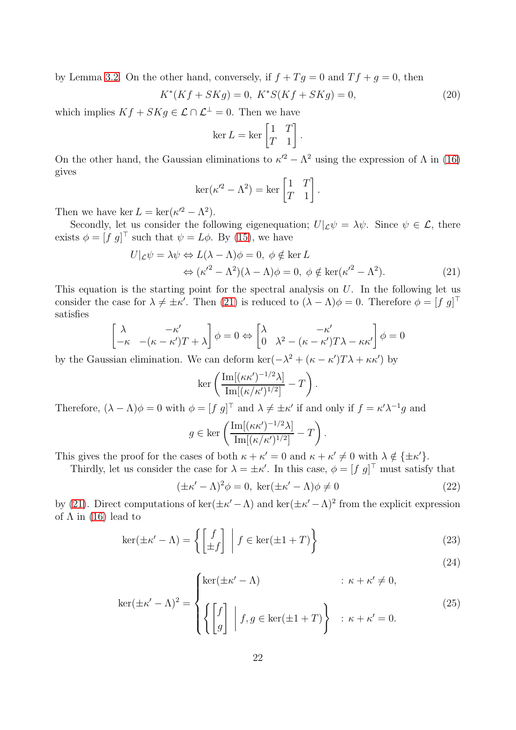by Lemma [3.2.](#page-7-0) On the other hand, conversely, if  $f + Tg = 0$  and  $Tf + g = 0$ , then

<span id="page-21-1"></span>
$$
K^*(Kf + SKg) = 0, \ K^*S(Kf + SKg) = 0,\tag{20}
$$

which implies  $Kf + SKg \in \mathcal{L} \cap \mathcal{L}^{\perp} = 0$ . Then we have

$$
\ker L = \ker \begin{bmatrix} 1 & T \\ T & 1 \end{bmatrix}.
$$

On the other hand, the Gaussian eliminations to  $\kappa'^2 - \Lambda^2$  using the expression of  $\Lambda$  in [\(16\)](#page-19-3) gives

$$
\ker(\kappa^2 - \Lambda^2) = \ker\begin{bmatrix} 1 & T \\ T & 1 \end{bmatrix}.
$$

Then we have ker  $L = \ker(\kappa'^2 - \Lambda^2)$ .

Secondly, let us consider the following eigenequation;  $U|_{\mathcal{L}}\psi = \lambda \psi$ . Since  $\psi \in \mathcal{L}$ , there exists  $\phi = [f \ g]$ <sup> $\perp$ </sup> such that  $\psi = L\phi$ . By [\(15\)](#page-19-4), we have

$$
U|_{\mathcal{L}}\psi = \lambda\psi \Leftrightarrow L(\lambda - \Lambda)\phi = 0, \ \phi \notin \ker L
$$
  

$$
\Leftrightarrow (\kappa'^2 - \Lambda^2)(\lambda - \Lambda)\phi = 0, \ \phi \notin \ker(\kappa'^2 - \Lambda^2). \tag{21}
$$

This equation is the starting point for the spectral analysis on  $U$ . In the following let us consider the case for  $\lambda \neq \pm \kappa'$ . Then [\(21\)](#page-21-0) is reduced to  $(\lambda - \Lambda)\phi = 0$ . Therefore  $\phi = [f \ g]^{\dagger}$ satisfies

$$
\begin{bmatrix} \lambda & -\kappa' \\ -\kappa & -(\kappa - \kappa')T + \lambda \end{bmatrix} \phi = 0 \Leftrightarrow \begin{bmatrix} \lambda & -\kappa' \\ 0 & \lambda^2 - (\kappa - \kappa')T\lambda - \kappa \kappa' \end{bmatrix} \phi = 0
$$

by the Gaussian elimination. We can deform  $\ker(-\lambda^2 + (\kappa - \kappa')T\lambda + \kappa\kappa')$  by

$$
\ker\left(\frac{\mathrm{Im}[(\kappa\kappa')^{-1/2}\lambda]}{\mathrm{Im}[(\kappa/\kappa')^{1/2}]} - T\right)
$$

Therefore,  $(\lambda - \Lambda)\phi = 0$  with  $\phi = [f \ g]^\top$  and  $\lambda \neq \pm \kappa'$  if and only if  $f = \kappa' \lambda^{-1} g$  and

$$
g \in \ker \left( \frac{\mathrm{Im}[(\kappa \kappa')^{-1/2} \lambda]}{\mathrm{Im}[(\kappa/\kappa')^{1/2}]} - T \right).
$$

This gives the proof for the cases of both  $\kappa + \kappa' = 0$  and  $\kappa + \kappa' \neq 0$  with  $\lambda \notin {\pm \kappa'}$ .

Thirdly, let us consider the case for  $\lambda = \pm \kappa'$ . In this case,  $\phi = [f \ g]^{\perp}$  must satisfy that

$$
(\pm \kappa' - \Lambda)^2 \phi = 0, \ker(\pm \kappa' - \Lambda)\phi \neq 0
$$
\n(22)

<span id="page-21-0"></span>.

by [\(21\)](#page-21-0). Direct computations of ker( $\pm \kappa' - \Lambda$ ) and ker( $\pm \kappa' - \Lambda$ )<sup>2</sup> from the explicit expression of  $\Lambda$  in [\(16\)](#page-19-3) lead to

$$
\ker(\pm \kappa' - \Lambda) = \left\{ \begin{bmatrix} f \\ \pm f \end{bmatrix} \middle| f \in \ker(\pm 1 + T) \right\}
$$
\n(23)

$$
\ker(\pm \kappa' - \Lambda)^2 = \begin{cases} \ker(\pm \kappa' - \Lambda) & : \kappa + \kappa' \neq 0, \\ \left\{ \begin{bmatrix} f \\ g \end{bmatrix} \middle| f, g \in \ker(\pm 1 + T) \right\} & : \kappa + \kappa' = 0. \end{cases}
$$
 (25)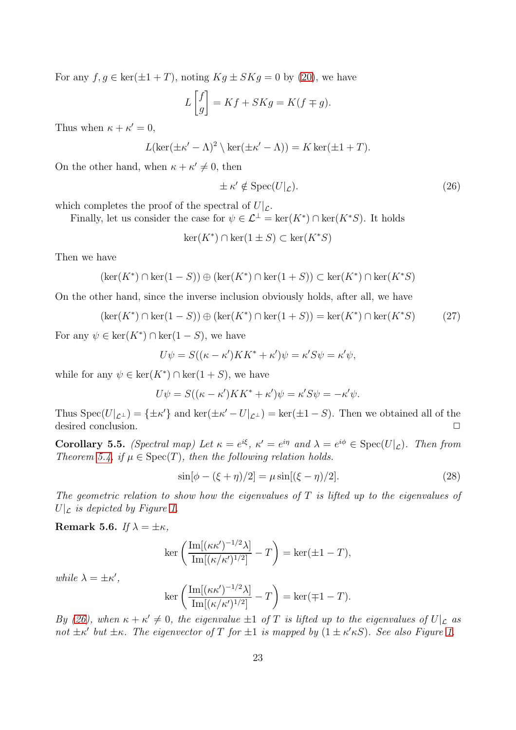For any  $f, g \in \ker(\pm 1 + T)$ , noting  $Kg \pm SKg = 0$  by [\(20\)](#page-21-1), we have

$$
L\begin{bmatrix} f \\ g \end{bmatrix} = Kf + SKg = K(f \mp g).
$$

Thus when  $\kappa + \kappa' = 0$ ,

$$
L(\ker(\pm \kappa' - \Lambda)^2 \setminus \ker(\pm \kappa' - \Lambda)) = K \ker(\pm 1 + T).
$$

On the other hand, when  $\kappa + \kappa' \neq 0$ , then

<span id="page-22-2"></span>
$$
\pm \kappa' \notin \operatorname{Spec}(U|\mathcal{L}).\tag{26}
$$

which completes the proof of the spectral of  $U|_{\mathcal{L}}$ .

Finally, let us consider the case for  $\psi \in \mathcal{L}^{\perp} = \text{ker}(K^*) \cap \text{ker}(K^*S)$ . It holds

$$
\ker(K^*) \cap \ker(1 \pm S) \subset \ker(K^*S)
$$

Then we have

$$
(\ker(K^*) \cap \ker(1 - S)) \oplus (\ker(K^*) \cap \ker(1 + S)) \subset \ker(K^*) \cap \ker(K^*S)
$$

On the other hand, since the inverse inclusion obviously holds, after all, we have

$$
(\ker(K^*) \cap \ker(1 - S)) \oplus (\ker(K^*) \cap \ker(1 + S)) = \ker(K^*) \cap \ker(K^*S) \tag{27}
$$

For any  $\psi \in \ker(K^*) \cap \ker(1-S)$ , we have

$$
U\psi = S((\kappa - \kappa')KK^* + \kappa')\psi = \kappa'S\psi = \kappa'\psi,
$$

while for any  $\psi \in \ker(K^*) \cap \ker(1+S)$ , we have

$$
U\psi = S((\kappa - \kappa')KK^* + \kappa')\psi = \kappa'S\psi = -\kappa'\psi.
$$

Thus  $Spec(U|_{\mathcal{L}^{\perp}}) = {\pm \kappa'}$  and  $ker(\pm \kappa' - U|_{\mathcal{L}^{\perp}}) = ker(\pm 1 - S)$ . Then we obtained all of the desired conclusion.  $\Box$ 

<span id="page-22-0"></span>Corollary 5.5. (Spectral map) Let  $\kappa = e^{i\xi}$ ,  $\kappa' = e^{i\eta}$  and  $\lambda = e^{i\phi} \in \text{Spec}(U|\mathcal{L})$ . Then from Theorem [5.4,](#page-20-0) if  $\mu \in \text{Spec}(T)$ , then the following relation holds.

<span id="page-22-1"></span>
$$
\sin[\phi - (\xi + \eta)/2] = \mu \sin[(\xi - \eta)/2].\tag{28}
$$

The geometric relation to show how the eigenvalues of  $T$  is lifted up to the eigenvalues of  $U|_{\mathcal{L}}$  is depicted by Figure [1.](#page-26-0)

<span id="page-22-3"></span>Remark 5.6. If  $\lambda = \pm \kappa$ ,

$$
\ker\left(\frac{\mathrm{Im}[(\kappa\kappa')^{-1/2}\lambda]}{\mathrm{Im}[(\kappa/\kappa')^{1/2}]} - T\right) = \ker(\pm 1 - T),
$$

while  $\lambda = \pm \kappa',$ 

$$
\ker\left(\frac{\mathrm{Im}[(\kappa\kappa')^{-1/2}\lambda]}{\mathrm{Im}[(\kappa/\kappa')^{1/2}]} - T\right) = \ker(\mp 1 - T).
$$

By [\(26\)](#page-22-2), when  $\kappa + \kappa' \neq 0$ , the eigenvalue  $\pm 1$  of T is lifted up to the eigenvalues of  $U|_{\mathcal{L}}$  as not  $\pm \kappa'$  but  $\pm \kappa$ . The eigenvector of T for  $\pm 1$  is mapped by  $(1 \pm \kappa' \kappa S)$ . See also Figure [1.](#page-26-0)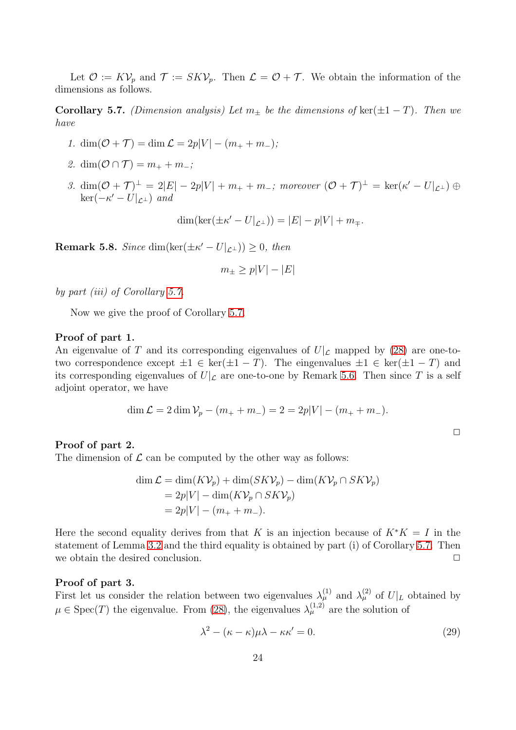Let  $\mathcal{O} := K\mathcal{V}_p$  and  $\mathcal{T} := SK\mathcal{V}_p$ . Then  $\mathcal{L} = \mathcal{O} + \mathcal{T}$ . We obtain the information of the dimensions as follows.

<span id="page-23-0"></span>**Corollary 5.7.** (Dimension analysis) Let  $m_+$  be the dimensions of ker( $\pm 1 - T$ ). Then we have

- 1. dim $(\mathcal{O} + \mathcal{T}) = \dim \mathcal{L} = 2p|V| (m_+ + m_-);$
- 2. dim $(\mathcal{O} \cap \mathcal{T}) = m_+ + m_-;$
- 3.  $\dim(\mathcal{O} + \mathcal{T})^{\perp} = 2|E| 2p|V| + m_{+} + m_{-}$ ; moreover  $(\mathcal{O} + \mathcal{T})^{\perp} = \ker(\kappa' U|_{\mathcal{L}^{\perp}}) \oplus$  $\ker(-\kappa'-U|_{\mathcal{L}^\perp})$  and

$$
\dim(\ker(\pm \kappa' - U|_{\mathcal{L}^\perp})) = |E| - p|V| + m_{\mp}.
$$

**Remark 5.8.** Since dim( $\text{ker}(\pm \kappa' - U|_{\mathcal{L}^{\perp}}) \geq 0$ , then

$$
m_{\pm} \ge p|V| - |E|
$$

by part (iii) of Corollary [5.7.](#page-23-0)

Now we give the proof of Corollary [5.7.](#page-23-0)

#### Proof of part 1.

An eigenvalue of T and its corresponding eigenvalues of  $U|\mathcal{L}$  mapped by [\(28\)](#page-22-1) are one-totwo correspondence except  $\pm 1 \in \ker(\pm 1 - T)$ . The eingenvalues  $\pm 1 \in \ker(\pm 1 - T)$  and its corresponding eigenvalues of  $U|_{\mathcal{L}}$  are one-to-one by Remark [5.6.](#page-22-3) Then since T is a self adjoint operator, we have

$$
\dim \mathcal{L} = 2 \dim \mathcal{V}_p - (m_+ + m_-) = 2 = 2p|V| - (m_+ + m_-).
$$

#### Proof of part 2.

The dimension of  $\mathcal L$  can be computed by the other way as follows:

$$
\dim \mathcal{L} = \dim(K\mathcal{V}_p) + \dim(SK\mathcal{V}_p) - \dim(K\mathcal{V}_p \cap SK\mathcal{V}_p)
$$
  
= 2p|V| - \dim(K\mathcal{V}\_p \cap SK\mathcal{V}\_p)  
= 2p|V| - (m\_+ + m\_-).

Here the second equality derives from that K is an injection because of  $K^*K = I$  in the statement of Lemma [3.2](#page-7-0) and the third equality is obtained by part (i) of Corollary [5.7.](#page-23-0) Then we obtain the desired conclusion.  $\Box$ 

#### Proof of part 3.

First let us consider the relation between two eigenvalues  $\lambda_{\mu}^{(1)}$  and  $\lambda_{\mu}^{(2)}$  of  $U|_L$  obtained by  $\mu \in \text{Spec}(T)$  the eigenvalue. From [\(28\)](#page-22-1), the eigenvalues  $\lambda_{\mu}^{(1,2)}$  are the solution of

<span id="page-23-1"></span>
$$
\lambda^2 - (\kappa - \kappa)\mu\lambda - \kappa\kappa' = 0. \tag{29}
$$

 $\Box$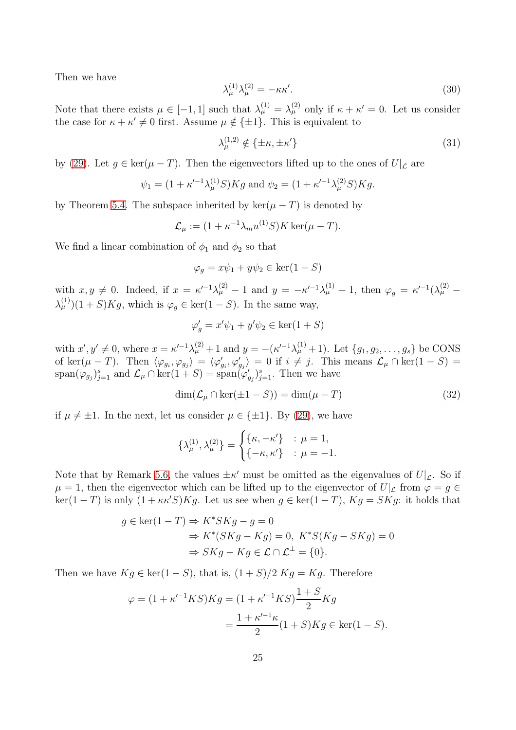Then we have

$$
\lambda_{\mu}^{(1)}\lambda_{\mu}^{(2)} = -\kappa\kappa'.\tag{30}
$$

Note that there exists  $\mu \in [-1, 1]$  such that  $\lambda_{\mu}^{(1)} = \lambda_{\mu}^{(2)}$  only if  $\kappa + \kappa' = 0$ . Let us consider the case for  $\kappa + \kappa' \neq 0$  first. Assume  $\mu \notin {\pm 1}$ . This is equivalent to

$$
\lambda_{\mu}^{(1,2)} \notin \{\pm \kappa, \pm \kappa'\}\tag{31}
$$

by [\(29\)](#page-23-1). Let  $g \in \ker(\mu - T)$ . Then the eigenvectors lifted up to the ones of  $U|_{\mathcal{L}}$  are

$$
\psi_1 = (1 + \kappa'^{-1} \lambda^{(1)}_\mu S) K g
$$
 and  $\psi_2 = (1 + \kappa'^{-1} \lambda^{(2)}_\mu S) K g$ .

by Theorem [5.4.](#page-20-0) The subspace inherited by  $\ker(\mu - T)$  is denoted by

$$
\mathcal{L}_{\mu} := (1 + \kappa^{-1} \lambda_m u^{(1)} S) K \ker(\mu - T).
$$

We find a linear combination of  $\phi_1$  and  $\phi_2$  so that

$$
\varphi_g = x\psi_1 + y\psi_2 \in \ker(1 - S)
$$

with  $x, y \neq 0$ . Indeed, if  $x = \kappa'^{-1}\lambda^{(2)}_{\mu} - 1$  and  $y = -\kappa'^{-1}\lambda^{(1)}_{\mu} + 1$ , then  $\varphi_g = \kappa'^{-1}(\lambda^{(2)}_{\mu} \lambda_{\mu}^{(1)}$  $(1 + S)Kg$ , which is  $\varphi_g \in \text{ker}(1 - S)$ . In the same way,

$$
\varphi'_g = x'\psi_1 + y'\psi_2 \in \ker(1+S)
$$

with  $x', y' \neq 0$ , where  $x = \kappa'^{-1}\lambda_{\mu}^{(2)} + 1$  and  $y = -(\kappa'^{-1}\lambda_{\mu}^{(1)} + 1)$ . Let  $\{g_1, g_2, \ldots, g_s\}$  be CONS of ker $(\mu - T)$ . Then  $\langle \varphi_{g_i}, \varphi_{g_j} \rangle = \langle \varphi'_{g_i}, \varphi'_{g_j} \rangle = 0$  if  $i \neq j$ . This means  $\mathcal{L}_{\mu} \cap \text{ker}(1 - S) =$  $\text{span}(\varphi_{g_j})_{j=1}^s$  and  $\mathcal{L}_{\mu} \cap \text{ker}(1+S) = \text{span}(\varphi'_{g_j})_{j=1}^s$ . Then we have

<span id="page-24-0"></span>
$$
\dim(\mathcal{L}_{\mu} \cap \ker(\pm 1 - S)) = \dim(\mu - T)
$$
\n(32)

if  $\mu \neq \pm 1$ . In the next, let us consider  $\mu \in \{\pm 1\}$ . By [\(29\)](#page-23-1), we have

$$
\{\lambda_{\mu}^{(1)}, \lambda_{\mu}^{(2)}\} = \begin{cases} {\{\kappa, -\kappa'\}} & ; \ \mu = 1, \\ {\{-\kappa, \kappa'\}} & ; \ \mu = -1. \end{cases}
$$

Note that by Remark [5.6,](#page-22-3) the values  $\pm \kappa'$  must be omitted as the eigenvalues of  $U|\mathcal{L}$ . So if  $\mu = 1$ , then the eigenvector which can be lifted up to the eigenvector of  $U|_{\mathcal{L}}$  from  $\varphi = g \in$  $\ker(1-T)$  is only  $(1 + \kappa \kappa' S)Kq$ . Let us see when  $q \in \ker(1-T)$ ,  $Kq = SKq$ : it holds that

$$
g \in \ker(1 - T) \Rightarrow K^* S K g - g = 0
$$
  
\n
$$
\Rightarrow K^* (S K g - K g) = 0, \quad K^* S (K g - S K g) = 0
$$
  
\n
$$
\Rightarrow S K g - K g \in \mathcal{L} \cap \mathcal{L}^{\perp} = \{0\}.
$$

Then we have  $Kg \in \text{ker}(1-S)$ , that is,  $(1+S)/2 Kg = Kg$ . Therefore

$$
\varphi = (1 + \kappa'^{-1}KS)Kg = (1 + \kappa'^{-1}KS)\frac{1+S}{2}Kg
$$
  
= 
$$
\frac{1 + \kappa'^{-1}\kappa}{2}(1+S)Kg \in \ker(1-S).
$$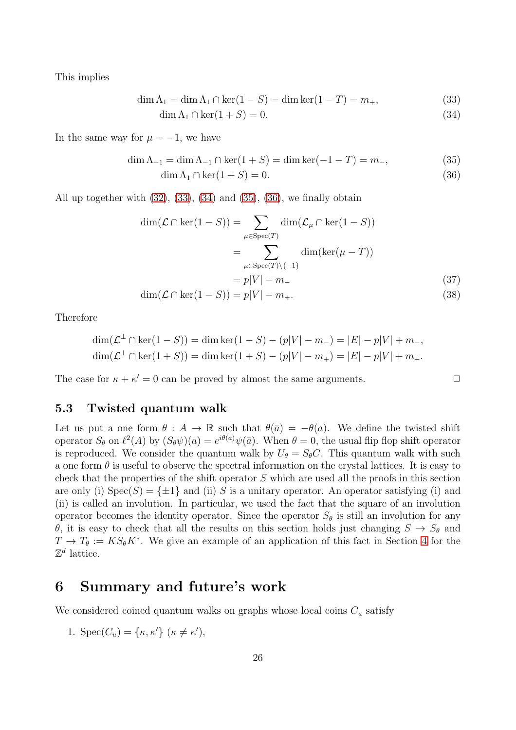This implies

$$
\dim \Lambda_1 = \dim \Lambda_1 \cap \ker(1 - S) = \dim \ker(1 - T) = m_+, \tag{33}
$$

<span id="page-25-2"></span><span id="page-25-1"></span>
$$
\dim \Lambda_1 \cap \ker(1+S) = 0. \tag{34}
$$

In the same way for  $\mu = -1$ , we have

$$
\dim \Lambda_{-1} = \dim \Lambda_{-1} \cap \ker(1+S) = \dim \ker(-1-T) = m_-, \tag{35}
$$

<span id="page-25-4"></span><span id="page-25-3"></span>
$$
\dim \Lambda_1 \cap \ker(1+S) = 0. \tag{36}
$$

All up together with  $(32)$ ,  $(33)$ ,  $(34)$  and  $(35)$ ,  $(36)$ , we finally obtain

$$
\dim(\mathcal{L} \cap \ker(1 - S)) = \sum_{\mu \in \text{Spec}(T)} \dim(\mathcal{L}_{\mu} \cap \ker(1 - S))
$$

$$
= \sum_{\mu \in \text{Spec}(T) \setminus \{-1\}} \dim(\ker(\mu - T))
$$

$$
= p|V| - m.
$$
(37)

$$
\dim(\mathcal{L} \cap \ker(1 - S)) = p|V| - m_+.
$$
\n(38)

Therefore

$$
\dim(\mathcal{L}^{\perp} \cap \ker(1 - S)) = \dim \ker(1 - S) - (p|V| - m_{-}) = |E| - p|V| + m_{-},
$$
  

$$
\dim(\mathcal{L}^{\perp} \cap \ker(1 + S)) = \dim \ker(1 + S) - (p|V| - m_{+}) = |E| - p|V| + m_{+}.
$$

The case for  $\kappa + \kappa' = 0$  can be proved by almost the same arguments.

### <span id="page-25-0"></span>5.3 Twisted quantum walk

Let us put a one form  $\theta : A \to \mathbb{R}$  such that  $\theta(\bar{a}) = -\theta(a)$ . We define the twisted shift operator  $S_{\theta}$  on  $\ell^2(A)$  by  $(S_{\theta}\psi)(a) = e^{i\theta(a)}\psi(\bar{a})$ . When  $\theta = 0$ , the usual flip flop shift operator is reproduced. We consider the quantum walk by  $U_{\theta} = S_{\theta}C$ . This quantum walk with such a one form  $\theta$  is useful to observe the spectral information on the crystal lattices. It is easy to check that the properties of the shift operator  $S$  which are used all the proofs in this section are only (i)  $Spec(S) = \{\pm 1\}$  and (ii) S is a unitary operator. An operator satisfying (i) and (ii) is called an involution. In particular, we used the fact that the square of an involution operator becomes the identity operator. Since the operator  $S_{\theta}$  is still an involution for any θ, it is easy to check that all the results on this section holds just changing  $S \to S_{\theta}$  and  $T \to T_{\theta} := KS_{\theta} K^*$ . We give an example of an application of this fact in Section [4](#page-8-0) for the  $\mathbb{Z}^d$  lattice.

## 6 Summary and future's work

We considered coined quantum walks on graphs whose local coins  $C<sub>u</sub>$  satisfy

1. Spec $(C_u) = {\kappa, \kappa'}$   $(\kappa \neq \kappa'),$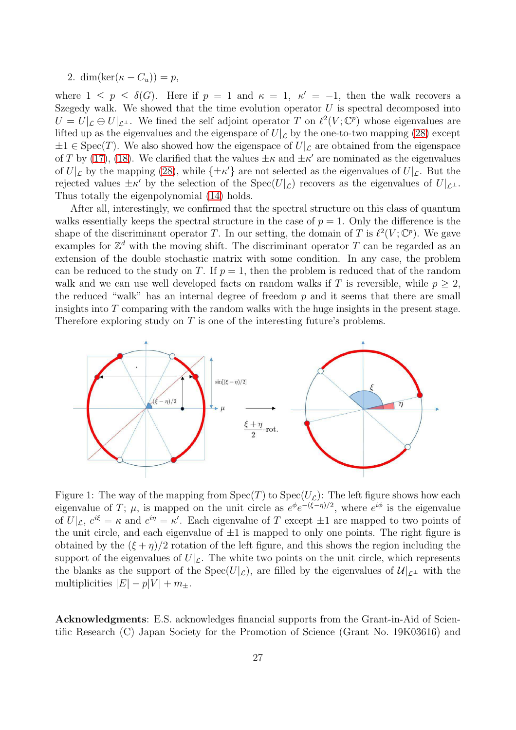2. dim(ker $(\kappa - C_u)$ ) = p,

where  $1 \leq p \leq \delta(G)$ . Here if  $p = 1$  and  $\kappa = 1$ ,  $\kappa' = -1$ , then the walk recovers a Szegedy walk. We showed that the time evolution operator  $U$  is spectral decomposed into  $U = U|_{\mathcal{L}} \oplus U|_{\mathcal{L}^{\perp}}$ . We fined the self adjoint operator T on  $\ell^2(V; \mathbb{C}^p)$  whose eigenvalues are lifted up as the eigenvalues and the eigenspace of  $U|\mathcal{L}$  by the one-to-two mapping [\(28\)](#page-22-1) except  $\pm 1 \in \text{Spec}(T)$ . We also showed how the eigenspace of  $U|_{\mathcal{L}}$  are obtained from the eigenspace of T by [\(17\)](#page-20-1), [\(18\)](#page-20-2). We clarified that the values  $\pm \kappa$  and  $\pm \kappa'$  are nominated as the eigenvalues of  $U|\mathcal{L}$  by the mapping [\(28\)](#page-22-1), while  $\{\pm \kappa'\}$  are not selected as the eigenvalues of  $U|\mathcal{L}$ . But the rejected values  $\pm \kappa'$  by the selection of the Spec $(U|\mathcal{L})$  recovers as the eigenvalues of  $U|\mathcal{L}^{\perp}$ . Thus totally the eigenpolynomial [\(14\)](#page-19-1) holds.

After all, interestingly, we confirmed that the spectral structure on this class of quantum walks essentially keeps the spectral structure in the case of  $p = 1$ . Only the difference is the shape of the discriminant operator T. In our setting, the domain of T is  $\ell^2(V; \mathbb{C}^p)$ . We gave examples for  $\mathbb{Z}^d$  with the moving shift. The discriminant operator T can be regarded as an extension of the double stochastic matrix with some condition. In any case, the problem can be reduced to the study on T. If  $p = 1$ , then the problem is reduced that of the random walk and we can use well developed facts on random walks if T is reversible, while  $p \geq 2$ , the reduced "walk" has an internal degree of freedom  $p$  and it seems that there are small insights into  $T$  comparing with the random walks with the huge insights in the present stage. Therefore exploring study on  $T$  is one of the interesting future's problems.



<span id="page-26-0"></span>Figure 1: The way of the mapping from  $Spec(T)$  to  $Spec(U_{\mathcal{L}})$ : The left figure shows how each eigenvalue of T;  $\mu$ , is mapped on the unit circle as  $e^{\phi}e^{-(\xi-\eta)/2}$ , where  $e^{i\phi}$  is the eigenvalue of  $U|\mathcal{L}, e^{i\xi} = \kappa$  and  $e^{i\eta} = \kappa'$ . Each eigenvalue of T except  $\pm 1$  are mapped to two points of the unit circle, and each eigenvalue of  $\pm 1$  is mapped to only one points. The right figure is obtained by the  $(\xi + \eta)/2$  rotation of the left figure, and this shows the region including the support of the eigenvalues of  $U|\mathcal{L}$ . The white two points on the unit circle, which represents the blanks as the support of the Spec(U|c), are filled by the eigenvalues of  $\mathcal{U}|_{\mathcal{L}^{\perp}}$  with the multiplicities  $|E| - p|V| + m_{\pm}$ .

Acknowledgments: E.S. acknowledges financial supports from the Grant-in-Aid of Scientific Research (C) Japan Society for the Promotion of Science (Grant No. 19K03616) and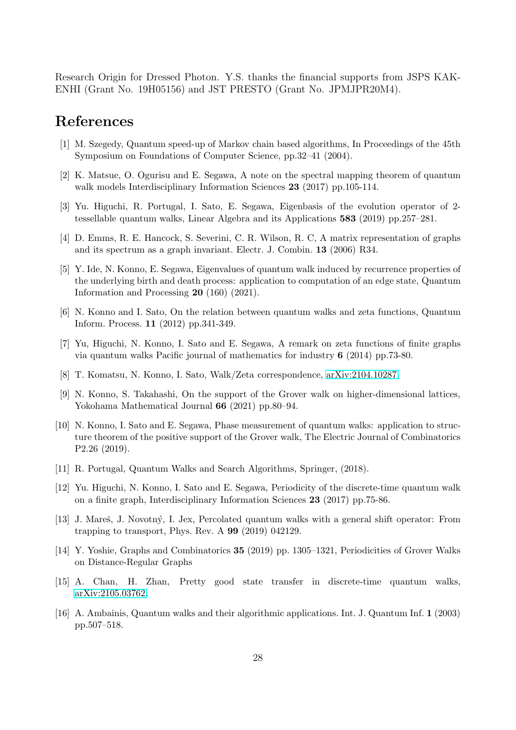Research Origin for Dressed Photon. Y.S. thanks the financial supports from JSPS KAK-ENHI (Grant No. 19H05156) and JST PRESTO (Grant No. JPMJPR20M4).

# <span id="page-27-0"></span>References

- <span id="page-27-1"></span>[1] M. Szegedy, Quantum speed-up of Markov chain based algorithms, In Proceedings of the 45th Symposium on Foundations of Computer Science, pp.32–41 (2004).
- [2] K. Matsue, O. Ogurisu and E. Segawa, A note on the spectral mapping theorem of quantum walk models Interdisciplinary Information Sciences 23 (2017) pp.105-114.
- <span id="page-27-3"></span><span id="page-27-2"></span>[3] Yu. Higuchi, R. Portugal, I. Sato, E. Segawa, Eigenbasis of the evolution operator of 2 tessellable quantum walks, Linear Algebra and its Applications 583 (2019) pp.257–281.
- <span id="page-27-11"></span>[4] D. Emms, R. E. Hancock, S. Severini, C. R. Wilson, R. C, A matrix representation of graphs and its spectrum as a graph invariant. Electr. J. Combin. 13 (2006) R34.
- [5] Y. Ide, N. Konno, E. Segawa, Eigenvalues of quantum walk induced by recurrence properties of the underlying birth and death process: application to computation of an edge state, Quantum Information and Processing 20 (160) (2021).
- <span id="page-27-4"></span>[6] N. Konno and I. Sato, On the relation between quantum walks and zeta functions, Quantum Inform. Process. 11 (2012) pp.341-349.
- <span id="page-27-14"></span><span id="page-27-5"></span>[7] Yu, Higuchi, N. Konno, I. Sato and E. Segawa, A remark on zeta functions of finite graphs via quantum walks Pacific journal of mathematics for industry 6 (2014) pp.73-80.
- <span id="page-27-12"></span>[8] T. Komatsu, N. Konno, I. Sato, Walk/Zeta correspondence, [arXiv:2104.10287,](http://arxiv.org/abs/2104.10287)
- [9] N. Konno, S. Takahashi, On the support of the Grover walk on higher-dimensional lattices, Yokohama Mathematical Journal 66 (2021) pp.80–94.
- <span id="page-27-6"></span>[10] N. Konno, I. Sato and E. Segawa, Phase measurement of quantum walks: application to structure theorem of the positive support of the Grover walk, The Electric Journal of Combinatorics P2.26 (2019).
- <span id="page-27-8"></span><span id="page-27-7"></span>[11] R. Portugal, Quantum Walks and Search Algorithms, Springer, (2018).
- [12] Yu. Higuchi, N. Konno, I. Sato and E. Segawa, Periodicity of the discrete-time quantum walk on a finite graph, Interdisciplinary Information Sciences 23 (2017) pp.75-86.
- <span id="page-27-13"></span>[13] J. Mareš, J. Novotný, I. Jex, Percolated quantum walks with a general shift operator: From trapping to transport, Phys. Rev. A 99 (2019) 042129.
- <span id="page-27-10"></span><span id="page-27-9"></span>[14] Y. Yoshie, Graphs and Combinatorics 35 (2019) pp. 1305–1321, Periodicities of Grover Walks on Distance-Regular Graphs
- [15] A. Chan, H. Zhan, Pretty good state transfer in discrete-time quantum walks, [arXiv:2105.03762.](http://arxiv.org/abs/2105.03762)
- [16] A. Ambainis, Quantum walks and their algorithmic applications. Int. J. Quantum Inf. 1 (2003) pp.507–518.